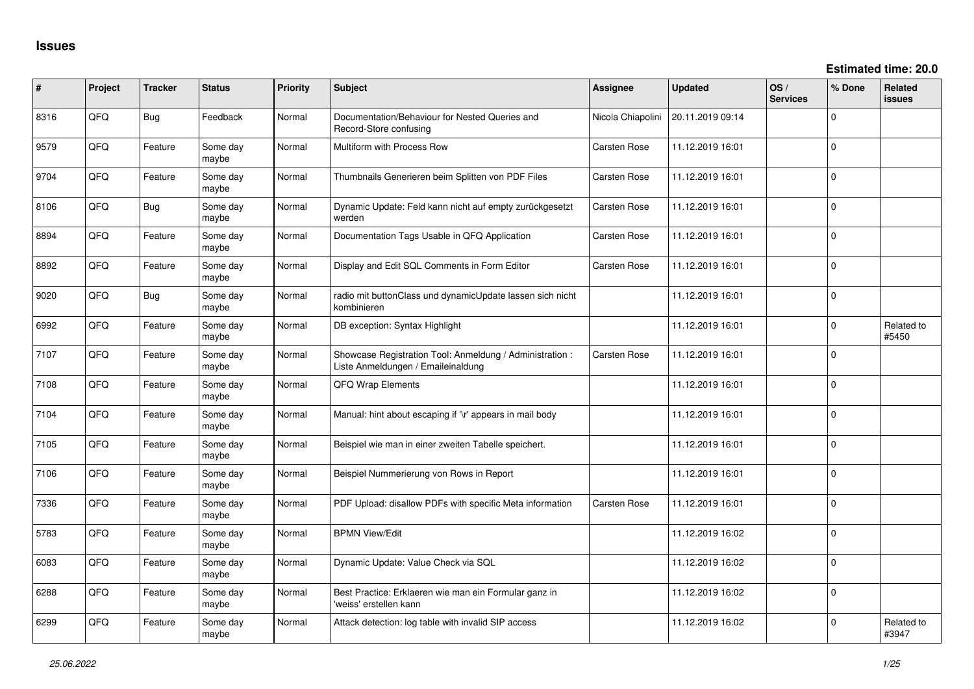| ∦    | Project | <b>Tracker</b> | <b>Status</b>     | Priority | <b>Subject</b>                                                                                 | <b>Assignee</b>     | <b>Updated</b>   | OS/<br><b>Services</b> | % Done      | Related<br><b>issues</b> |
|------|---------|----------------|-------------------|----------|------------------------------------------------------------------------------------------------|---------------------|------------------|------------------------|-------------|--------------------------|
| 8316 | QFQ     | <b>Bug</b>     | Feedback          | Normal   | Documentation/Behaviour for Nested Queries and<br>Record-Store confusing                       | Nicola Chiapolini   | 20.11.2019 09:14 |                        | 0           |                          |
| 9579 | QFQ     | Feature        | Some day<br>maybe | Normal   | Multiform with Process Row                                                                     | Carsten Rose        | 11.12.2019 16:01 |                        | 0           |                          |
| 9704 | QFQ     | Feature        | Some day<br>maybe | Normal   | Thumbnails Generieren beim Splitten von PDF Files                                              | Carsten Rose        | 11.12.2019 16:01 |                        | 0           |                          |
| 8106 | QFQ     | <b>Bug</b>     | Some day<br>maybe | Normal   | Dynamic Update: Feld kann nicht auf empty zurückgesetzt<br>werden                              | Carsten Rose        | 11.12.2019 16:01 |                        | 0           |                          |
| 8894 | QFQ     | Feature        | Some day<br>maybe | Normal   | Documentation Tags Usable in QFQ Application                                                   | <b>Carsten Rose</b> | 11.12.2019 16:01 |                        | 0           |                          |
| 8892 | QFQ     | Feature        | Some day<br>maybe | Normal   | Display and Edit SQL Comments in Form Editor                                                   | Carsten Rose        | 11.12.2019 16:01 |                        | 0           |                          |
| 9020 | QFQ     | <b>Bug</b>     | Some day<br>maybe | Normal   | radio mit buttonClass und dynamicUpdate lassen sich nicht<br>kombinieren                       |                     | 11.12.2019 16:01 |                        | $\mathbf 0$ |                          |
| 6992 | QFQ     | Feature        | Some day<br>maybe | Normal   | DB exception: Syntax Highlight                                                                 |                     | 11.12.2019 16:01 |                        | $\mathbf 0$ | Related to<br>#5450      |
| 7107 | QFQ     | Feature        | Some day<br>maybe | Normal   | Showcase Registration Tool: Anmeldung / Administration :<br>Liste Anmeldungen / Emaileinaldung | Carsten Rose        | 11.12.2019 16:01 |                        | 0           |                          |
| 7108 | QFQ     | Feature        | Some day<br>maybe | Normal   | QFQ Wrap Elements                                                                              |                     | 11.12.2019 16:01 |                        | 0           |                          |
| 7104 | QFQ     | Feature        | Some day<br>maybe | Normal   | Manual: hint about escaping if '\r' appears in mail body                                       |                     | 11.12.2019 16:01 |                        | 0           |                          |
| 7105 | QFQ     | Feature        | Some day<br>maybe | Normal   | Beispiel wie man in einer zweiten Tabelle speichert.                                           |                     | 11.12.2019 16:01 |                        | 0           |                          |
| 7106 | QFQ     | Feature        | Some day<br>maybe | Normal   | Beispiel Nummerierung von Rows in Report                                                       |                     | 11.12.2019 16:01 |                        | 0           |                          |
| 7336 | QFQ     | Feature        | Some day<br>maybe | Normal   | PDF Upload: disallow PDFs with specific Meta information                                       | <b>Carsten Rose</b> | 11.12.2019 16:01 |                        | 0           |                          |
| 5783 | QFQ     | Feature        | Some day<br>maybe | Normal   | <b>BPMN View/Edit</b>                                                                          |                     | 11.12.2019 16:02 |                        | 0           |                          |
| 6083 | QFQ     | Feature        | Some day<br>maybe | Normal   | Dynamic Update: Value Check via SQL                                                            |                     | 11.12.2019 16:02 |                        | 0           |                          |
| 6288 | QFQ     | Feature        | Some day<br>maybe | Normal   | Best Practice: Erklaeren wie man ein Formular ganz in<br>'weiss' erstellen kann                |                     | 11.12.2019 16:02 |                        | $\Omega$    |                          |
| 6299 | QFQ     | Feature        | Some day<br>maybe | Normal   | Attack detection: log table with invalid SIP access                                            |                     | 11.12.2019 16:02 |                        | 0           | Related to<br>#3947      |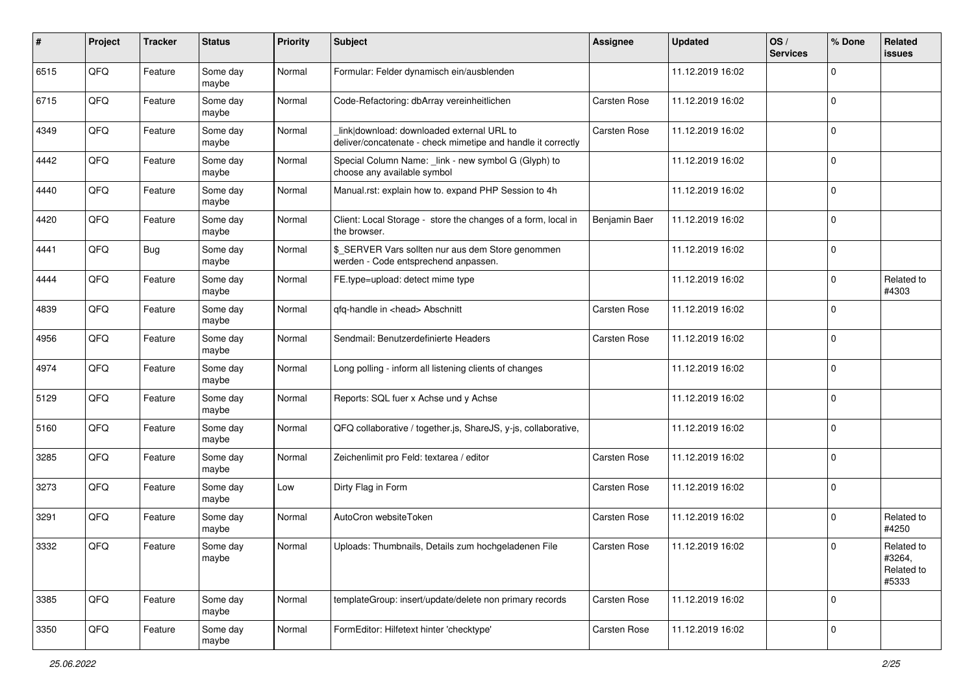| #    | Project | <b>Tracker</b> | <b>Status</b>     | <b>Priority</b> | <b>Subject</b>                                                                                            | Assignee      | <b>Updated</b>   | OS/<br><b>Services</b> | % Done      | Related<br>issues                           |
|------|---------|----------------|-------------------|-----------------|-----------------------------------------------------------------------------------------------------------|---------------|------------------|------------------------|-------------|---------------------------------------------|
| 6515 | QFQ     | Feature        | Some day<br>maybe | Normal          | Formular: Felder dynamisch ein/ausblenden                                                                 |               | 11.12.2019 16:02 |                        | 0           |                                             |
| 6715 | QFQ     | Feature        | Some day<br>maybe | Normal          | Code-Refactoring: dbArray vereinheitlichen                                                                | Carsten Rose  | 11.12.2019 16:02 |                        | $\mathbf 0$ |                                             |
| 4349 | QFQ     | Feature        | Some day<br>maybe | Normal          | link download: downloaded external URL to<br>deliver/concatenate - check mimetipe and handle it correctly | Carsten Rose  | 11.12.2019 16:02 |                        | $\mathbf 0$ |                                             |
| 4442 | QFQ     | Feature        | Some day<br>maybe | Normal          | Special Column Name: _link - new symbol G (Glyph) to<br>choose any available symbol                       |               | 11.12.2019 16:02 |                        | $\mathbf 0$ |                                             |
| 4440 | QFQ     | Feature        | Some day<br>maybe | Normal          | Manual.rst: explain how to. expand PHP Session to 4h                                                      |               | 11.12.2019 16:02 |                        | $\mathbf 0$ |                                             |
| 4420 | QFQ     | Feature        | Some day<br>maybe | Normal          | Client: Local Storage - store the changes of a form, local in<br>the browser.                             | Benjamin Baer | 11.12.2019 16:02 |                        | $\mathbf 0$ |                                             |
| 4441 | QFQ     | <b>Bug</b>     | Some day<br>maybe | Normal          | \$ SERVER Vars sollten nur aus dem Store genommen<br>werden - Code entsprechend anpassen.                 |               | 11.12.2019 16:02 |                        | $\Omega$    |                                             |
| 4444 | QFQ     | Feature        | Some day<br>maybe | Normal          | FE.type=upload: detect mime type                                                                          |               | 11.12.2019 16:02 |                        | 0           | Related to<br>#4303                         |
| 4839 | QFQ     | Feature        | Some day<br>maybe | Normal          | qfq-handle in <head> Abschnitt</head>                                                                     | Carsten Rose  | 11.12.2019 16:02 |                        | $\mathbf 0$ |                                             |
| 4956 | QFQ     | Feature        | Some day<br>maybe | Normal          | Sendmail: Benutzerdefinierte Headers                                                                      | Carsten Rose  | 11.12.2019 16:02 |                        | 0           |                                             |
| 4974 | QFQ     | Feature        | Some day<br>maybe | Normal          | Long polling - inform all listening clients of changes                                                    |               | 11.12.2019 16:02 |                        | $\mathbf 0$ |                                             |
| 5129 | QFQ     | Feature        | Some day<br>maybe | Normal          | Reports: SQL fuer x Achse und y Achse                                                                     |               | 11.12.2019 16:02 |                        | $\mathbf 0$ |                                             |
| 5160 | QFQ     | Feature        | Some day<br>maybe | Normal          | QFQ collaborative / together.js, ShareJS, y-js, collaborative,                                            |               | 11.12.2019 16:02 |                        | $\mathbf 0$ |                                             |
| 3285 | QFQ     | Feature        | Some day<br>maybe | Normal          | Zeichenlimit pro Feld: textarea / editor                                                                  | Carsten Rose  | 11.12.2019 16:02 |                        | $\mathbf 0$ |                                             |
| 3273 | QFQ     | Feature        | Some day<br>maybe | Low             | Dirty Flag in Form                                                                                        | Carsten Rose  | 11.12.2019 16:02 |                        | $\mathbf 0$ |                                             |
| 3291 | QFQ     | Feature        | Some day<br>maybe | Normal          | AutoCron websiteToken                                                                                     | Carsten Rose  | 11.12.2019 16:02 |                        | $\mathbf 0$ | Related to<br>#4250                         |
| 3332 | QFQ     | Feature        | Some day<br>maybe | Normal          | Uploads: Thumbnails, Details zum hochgeladenen File                                                       | Carsten Rose  | 11.12.2019 16:02 |                        | 0           | Related to<br>#3264,<br>Related to<br>#5333 |
| 3385 | QFQ     | Feature        | Some day<br>maybe | Normal          | templateGroup: insert/update/delete non primary records                                                   | Carsten Rose  | 11.12.2019 16:02 |                        | $\mathbf 0$ |                                             |
| 3350 | QFQ     | Feature        | Some day<br>maybe | Normal          | FormEditor: Hilfetext hinter 'checktype'                                                                  | Carsten Rose  | 11.12.2019 16:02 |                        | $\mathbf 0$ |                                             |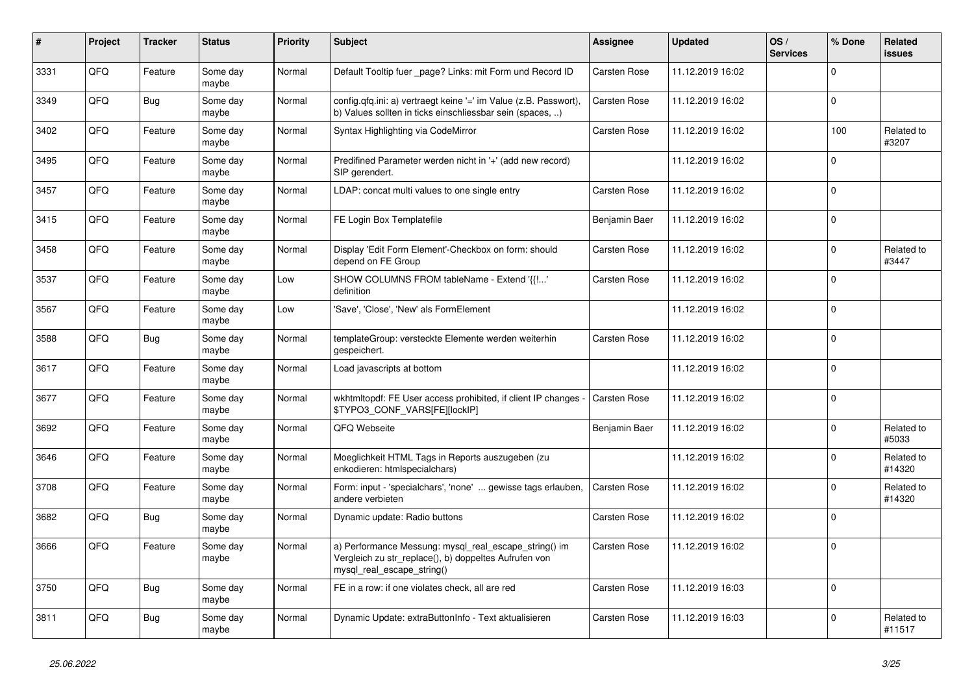| $\vert$ # | Project | <b>Tracker</b> | <b>Status</b>     | <b>Priority</b> | <b>Subject</b>                                                                                                                               | Assignee            | <b>Updated</b>   | OS/<br><b>Services</b> | % Done      | Related<br>issues    |
|-----------|---------|----------------|-------------------|-----------------|----------------------------------------------------------------------------------------------------------------------------------------------|---------------------|------------------|------------------------|-------------|----------------------|
| 3331      | QFQ     | Feature        | Some day<br>maybe | Normal          | Default Tooltip fuer _page? Links: mit Form und Record ID                                                                                    | Carsten Rose        | 11.12.2019 16:02 |                        | $\mathbf 0$ |                      |
| 3349      | QFQ     | <b>Bug</b>     | Some day<br>maybe | Normal          | config.qfq.ini: a) vertraegt keine '=' im Value (z.B. Passwort),<br>b) Values sollten in ticks einschliessbar sein (spaces, )                | Carsten Rose        | 11.12.2019 16:02 |                        | $\Omega$    |                      |
| 3402      | QFQ     | Feature        | Some day<br>maybe | Normal          | Syntax Highlighting via CodeMirror                                                                                                           | Carsten Rose        | 11.12.2019 16:02 |                        | 100         | Related to<br>#3207  |
| 3495      | QFQ     | Feature        | Some day<br>maybe | Normal          | Predifined Parameter werden nicht in '+' (add new record)<br>SIP gerendert.                                                                  |                     | 11.12.2019 16:02 |                        | $\mathbf 0$ |                      |
| 3457      | QFQ     | Feature        | Some day<br>maybe | Normal          | LDAP: concat multi values to one single entry                                                                                                | Carsten Rose        | 11.12.2019 16:02 |                        | $\Omega$    |                      |
| 3415      | QFQ     | Feature        | Some day<br>maybe | Normal          | FE Login Box Templatefile                                                                                                                    | Benjamin Baer       | 11.12.2019 16:02 |                        | $\mathbf 0$ |                      |
| 3458      | QFQ     | Feature        | Some day<br>maybe | Normal          | Display 'Edit Form Element'-Checkbox on form: should<br>depend on FE Group                                                                   | Carsten Rose        | 11.12.2019 16:02 |                        | $\mathbf 0$ | Related to<br>#3447  |
| 3537      | QFQ     | Feature        | Some day<br>maybe | Low             | SHOW COLUMNS FROM tableName - Extend '{{'<br>definition                                                                                      | Carsten Rose        | 11.12.2019 16:02 |                        | $\Omega$    |                      |
| 3567      | QFQ     | Feature        | Some day<br>maybe | Low             | 'Save', 'Close', 'New' als FormElement                                                                                                       |                     | 11.12.2019 16:02 |                        | $\mathbf 0$ |                      |
| 3588      | QFQ     | Bug            | Some day<br>maybe | Normal          | templateGroup: versteckte Elemente werden weiterhin<br>gespeichert.                                                                          | Carsten Rose        | 11.12.2019 16:02 |                        | $\mathbf 0$ |                      |
| 3617      | QFQ     | Feature        | Some day<br>maybe | Normal          | Load javascripts at bottom                                                                                                                   |                     | 11.12.2019 16:02 |                        | $\Omega$    |                      |
| 3677      | QFQ     | Feature        | Some day<br>maybe | Normal          | wkhtmitopdf: FE User access prohibited, if client IP changes<br>\$TYPO3_CONF_VARS[FE][lockIP]                                                | <b>Carsten Rose</b> | 11.12.2019 16:02 |                        | $\Omega$    |                      |
| 3692      | QFQ     | Feature        | Some day<br>maybe | Normal          | QFQ Webseite                                                                                                                                 | Benjamin Baer       | 11.12.2019 16:02 |                        | 0           | Related to<br>#5033  |
| 3646      | QFQ     | Feature        | Some day<br>maybe | Normal          | Moeglichkeit HTML Tags in Reports auszugeben (zu<br>enkodieren: htmlspecialchars)                                                            |                     | 11.12.2019 16:02 |                        | $\Omega$    | Related to<br>#14320 |
| 3708      | QFQ     | Feature        | Some day<br>maybe | Normal          | Form: input - 'specialchars', 'none'  gewisse tags erlauben,<br>andere verbieten                                                             | <b>Carsten Rose</b> | 11.12.2019 16:02 |                        | $\mathbf 0$ | Related to<br>#14320 |
| 3682      | QFQ     | Bug            | Some day<br>maybe | Normal          | Dynamic update: Radio buttons                                                                                                                | Carsten Rose        | 11.12.2019 16:02 |                        | $\mathbf 0$ |                      |
| 3666      | QFQ     | Feature        | Some day<br>maybe | Normal          | a) Performance Messung: mysql_real_escape_string() im<br>Vergleich zu str replace(), b) doppeltes Aufrufen von<br>mysgl real escape string() | Carsten Rose        | 11.12.2019 16:02 |                        | $\Omega$    |                      |
| 3750      | QFQ     | <b>Bug</b>     | Some day<br>maybe | Normal          | FE in a row: if one violates check, all are red                                                                                              | Carsten Rose        | 11.12.2019 16:03 |                        | $\mathbf 0$ |                      |
| 3811      | QFQ     | <b>Bug</b>     | Some day<br>maybe | Normal          | Dynamic Update: extraButtonInfo - Text aktualisieren                                                                                         | <b>Carsten Rose</b> | 11.12.2019 16:03 |                        | $\Omega$    | Related to<br>#11517 |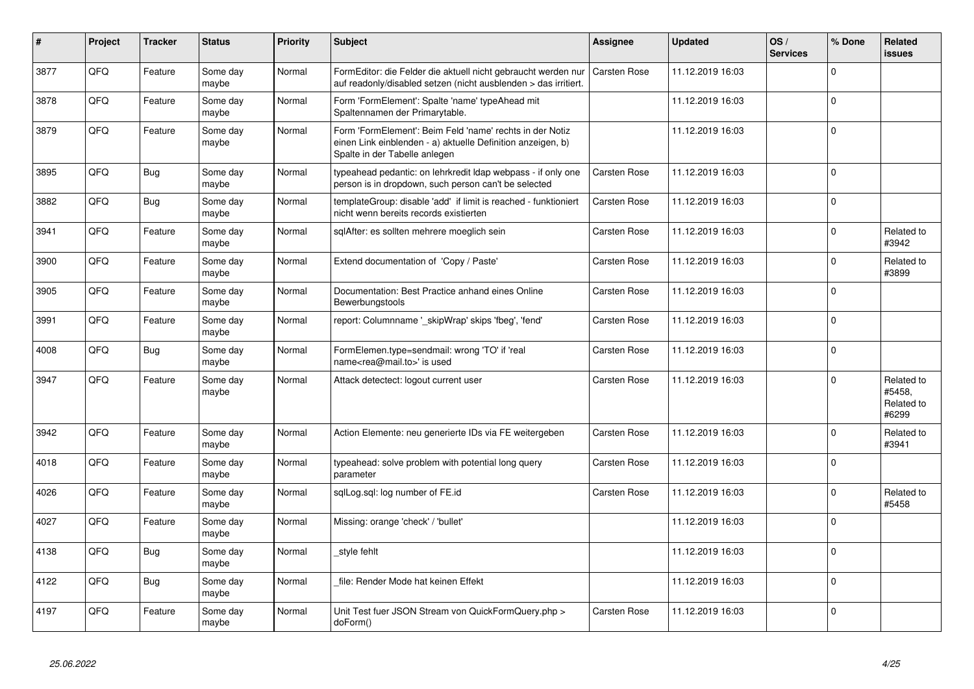| $\vert$ # | Project | <b>Tracker</b> | <b>Status</b>     | <b>Priority</b> | <b>Subject</b>                                                                                                                                           | Assignee            | <b>Updated</b>   | OS/<br><b>Services</b> | % Done      | Related<br>issues                           |
|-----------|---------|----------------|-------------------|-----------------|----------------------------------------------------------------------------------------------------------------------------------------------------------|---------------------|------------------|------------------------|-------------|---------------------------------------------|
| 3877      | QFQ     | Feature        | Some day<br>maybe | Normal          | FormEditor: die Felder die aktuell nicht gebraucht werden nur<br>auf readonly/disabled setzen (nicht ausblenden > das irritiert.                         | <b>Carsten Rose</b> | 11.12.2019 16:03 |                        | $\Omega$    |                                             |
| 3878      | QFQ     | Feature        | Some day<br>maybe | Normal          | Form 'FormElement': Spalte 'name' typeAhead mit<br>Spaltennamen der Primarytable.                                                                        |                     | 11.12.2019 16:03 |                        | $\Omega$    |                                             |
| 3879      | QFQ     | Feature        | Some day<br>maybe | Normal          | Form 'FormElement': Beim Feld 'name' rechts in der Notiz<br>einen Link einblenden - a) aktuelle Definition anzeigen, b)<br>Spalte in der Tabelle anlegen |                     | 11.12.2019 16:03 |                        | $\mathbf 0$ |                                             |
| 3895      | QFQ     | <b>Bug</b>     | Some day<br>maybe | Normal          | typeahead pedantic: on lehrkredit Idap webpass - if only one<br>person is in dropdown, such person can't be selected                                     | <b>Carsten Rose</b> | 11.12.2019 16:03 |                        | $\mathbf 0$ |                                             |
| 3882      | QFQ     | <b>Bug</b>     | Some day<br>maybe | Normal          | templateGroup: disable 'add' if limit is reached - funktioniert<br>nicht wenn bereits records existierten                                                | <b>Carsten Rose</b> | 11.12.2019 16:03 |                        | $\Omega$    |                                             |
| 3941      | QFQ     | Feature        | Some day<br>maybe | Normal          | sglAfter: es sollten mehrere moeglich sein                                                                                                               | <b>Carsten Rose</b> | 11.12.2019 16:03 |                        | $\Omega$    | Related to<br>#3942                         |
| 3900      | QFQ     | Feature        | Some day<br>maybe | Normal          | Extend documentation of 'Copy / Paste'                                                                                                                   | <b>Carsten Rose</b> | 11.12.2019 16:03 |                        | $\Omega$    | Related to<br>#3899                         |
| 3905      | QFQ     | Feature        | Some day<br>maybe | Normal          | Documentation: Best Practice anhand eines Online<br>Bewerbungstools                                                                                      | Carsten Rose        | 11.12.2019 16:03 |                        | $\Omega$    |                                             |
| 3991      | QFQ     | Feature        | Some day<br>maybe | Normal          | report: Columnname ' skipWrap' skips 'fbeg', 'fend'                                                                                                      | <b>Carsten Rose</b> | 11.12.2019 16:03 |                        | $\Omega$    |                                             |
| 4008      | QFQ     | <b>Bug</b>     | Some day<br>maybe | Normal          | FormElemen.type=sendmail: wrong 'TO' if 'real<br>name <rea@mail.to>' is used</rea@mail.to>                                                               | Carsten Rose        | 11.12.2019 16:03 |                        | $\Omega$    |                                             |
| 3947      | QFQ     | Feature        | Some day<br>maybe | Normal          | Attack detectect: logout current user                                                                                                                    | <b>Carsten Rose</b> | 11.12.2019 16:03 |                        | $\Omega$    | Related to<br>#5458.<br>Related to<br>#6299 |
| 3942      | QFQ     | Feature        | Some day<br>maybe | Normal          | Action Elemente: neu generierte IDs via FE weitergeben                                                                                                   | <b>Carsten Rose</b> | 11.12.2019 16:03 |                        | $\Omega$    | Related to<br>#3941                         |
| 4018      | QFQ     | Feature        | Some day<br>maybe | Normal          | typeahead: solve problem with potential long query<br>parameter                                                                                          | Carsten Rose        | 11.12.2019 16:03 |                        | $\Omega$    |                                             |
| 4026      | QFQ     | Feature        | Some day<br>maybe | Normal          | sqlLog.sql: log number of FE.id                                                                                                                          | <b>Carsten Rose</b> | 11.12.2019 16:03 |                        | $\Omega$    | Related to<br>#5458                         |
| 4027      | QFQ     | Feature        | Some day<br>maybe | Normal          | Missing: orange 'check' / 'bullet'                                                                                                                       |                     | 11.12.2019 16:03 |                        | $\Omega$    |                                             |
| 4138      | QFQ     | <b>Bug</b>     | Some day<br>maybe | Normal          | style fehlt                                                                                                                                              |                     | 11.12.2019 16:03 |                        | $\Omega$    |                                             |
| 4122      | QFQ     | <b>Bug</b>     | Some day<br>maybe | Normal          | file: Render Mode hat keinen Effekt                                                                                                                      |                     | 11.12.2019 16:03 |                        | $\Omega$    |                                             |
| 4197      | QFQ     | Feature        | Some day<br>maybe | Normal          | Unit Test fuer JSON Stream von QuickFormQuery.php ><br>doForm()                                                                                          | Carsten Rose        | 11.12.2019 16:03 |                        | $\Omega$    |                                             |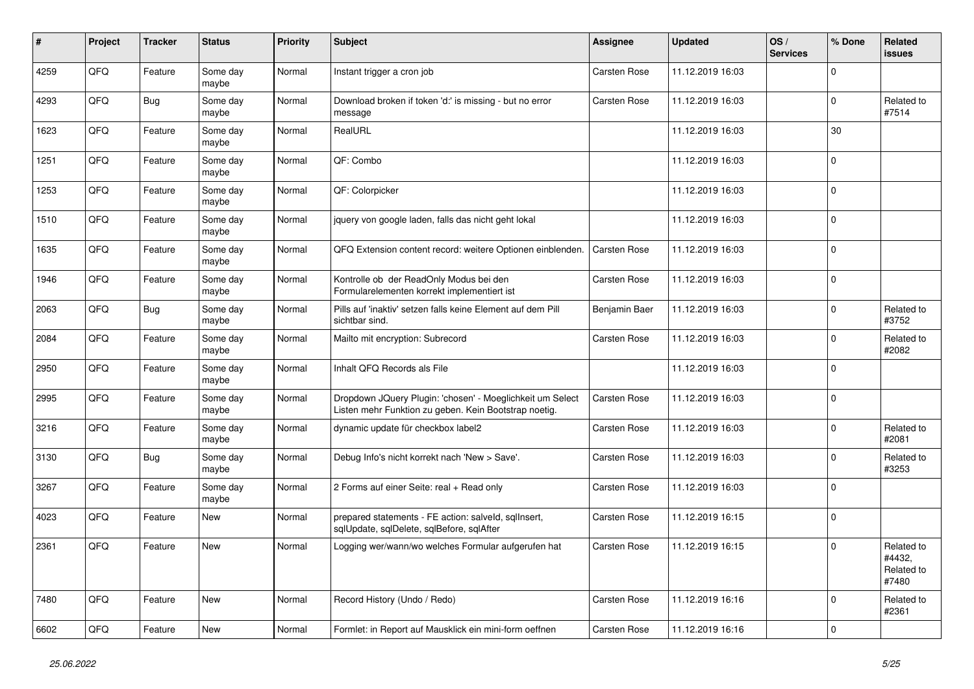| $\vert$ # | Project | <b>Tracker</b> | <b>Status</b>     | <b>Priority</b> | <b>Subject</b>                                                                                                     | <b>Assignee</b>     | <b>Updated</b>   | OS/<br><b>Services</b> | % Done         | Related<br>issues                           |
|-----------|---------|----------------|-------------------|-----------------|--------------------------------------------------------------------------------------------------------------------|---------------------|------------------|------------------------|----------------|---------------------------------------------|
| 4259      | QFQ     | Feature        | Some day<br>maybe | Normal          | Instant trigger a cron job                                                                                         | Carsten Rose        | 11.12.2019 16:03 |                        | $\Omega$       |                                             |
| 4293      | QFQ     | <b>Bug</b>     | Some day<br>maybe | Normal          | Download broken if token 'd:' is missing - but no error<br>message                                                 | <b>Carsten Rose</b> | 11.12.2019 16:03 |                        | $\mathbf 0$    | Related to<br>#7514                         |
| 1623      | QFQ     | Feature        | Some day<br>maybe | Normal          | RealURL                                                                                                            |                     | 11.12.2019 16:03 |                        | 30             |                                             |
| 1251      | QFQ     | Feature        | Some day<br>maybe | Normal          | QF: Combo                                                                                                          |                     | 11.12.2019 16:03 |                        | $\Omega$       |                                             |
| 1253      | QFQ     | Feature        | Some day<br>maybe | Normal          | QF: Colorpicker                                                                                                    |                     | 11.12.2019 16:03 |                        | $\Omega$       |                                             |
| 1510      | QFQ     | Feature        | Some day<br>maybe | Normal          | jquery von google laden, falls das nicht geht lokal                                                                |                     | 11.12.2019 16:03 |                        | $\Omega$       |                                             |
| 1635      | QFQ     | Feature        | Some day<br>maybe | Normal          | QFQ Extension content record: weitere Optionen einblenden.                                                         | Carsten Rose        | 11.12.2019 16:03 |                        | $\Omega$       |                                             |
| 1946      | QFQ     | Feature        | Some day<br>maybe | Normal          | Kontrolle ob der ReadOnly Modus bei den<br>Formularelementen korrekt implementiert ist                             | <b>Carsten Rose</b> | 11.12.2019 16:03 |                        | $\Omega$       |                                             |
| 2063      | QFQ     | <b>Bug</b>     | Some day<br>maybe | Normal          | Pills auf 'inaktiv' setzen falls keine Element auf dem Pill<br>sichtbar sind.                                      | Benjamin Baer       | 11.12.2019 16:03 |                        | $\Omega$       | Related to<br>#3752                         |
| 2084      | QFQ     | Feature        | Some day<br>maybe | Normal          | Mailto mit encryption: Subrecord                                                                                   | <b>Carsten Rose</b> | 11.12.2019 16:03 |                        | $\Omega$       | Related to<br>#2082                         |
| 2950      | QFQ     | Feature        | Some day<br>maybe | Normal          | Inhalt QFQ Records als File                                                                                        |                     | 11.12.2019 16:03 |                        | $\mathbf 0$    |                                             |
| 2995      | QFQ     | Feature        | Some day<br>maybe | Normal          | Dropdown JQuery Plugin: 'chosen' - Moeglichkeit um Select<br>Listen mehr Funktion zu geben. Kein Bootstrap noetig. | <b>Carsten Rose</b> | 11.12.2019 16:03 |                        | $\Omega$       |                                             |
| 3216      | QFQ     | Feature        | Some day<br>maybe | Normal          | dynamic update für checkbox label2                                                                                 | <b>Carsten Rose</b> | 11.12.2019 16:03 |                        | $\Omega$       | Related to<br>#2081                         |
| 3130      | QFQ     | <b>Bug</b>     | Some day<br>maybe | Normal          | Debug Info's nicht korrekt nach 'New > Save'.                                                                      | Carsten Rose        | 11.12.2019 16:03 |                        | $\Omega$       | Related to<br>#3253                         |
| 3267      | QFQ     | Feature        | Some day<br>maybe | Normal          | 2 Forms auf einer Seite: real + Read only                                                                          | Carsten Rose        | 11.12.2019 16:03 |                        | $\Omega$       |                                             |
| 4023      | QFQ     | Feature        | New               | Normal          | prepared statements - FE action: salveld, sqllnsert,<br>sqlUpdate, sqlDelete, sqlBefore, sqlAfter                  | <b>Carsten Rose</b> | 11.12.2019 16:15 |                        | $\Omega$       |                                             |
| 2361      | QFQ     | Feature        | New               | Normal          | Logging wer/wann/wo welches Formular aufgerufen hat                                                                | <b>Carsten Rose</b> | 11.12.2019 16:15 |                        | $\Omega$       | Related to<br>#4432,<br>Related to<br>#7480 |
| 7480      | QFQ     | Feature        | <b>New</b>        | Normal          | Record History (Undo / Redo)                                                                                       | Carsten Rose        | 11.12.2019 16:16 |                        | $\Omega$       | Related to<br>#2361                         |
| 6602      | QFQ     | Feature        | New               | Normal          | Formlet: in Report auf Mausklick ein mini-form oeffnen                                                             | Carsten Rose        | 11.12.2019 16:16 |                        | $\overline{0}$ |                                             |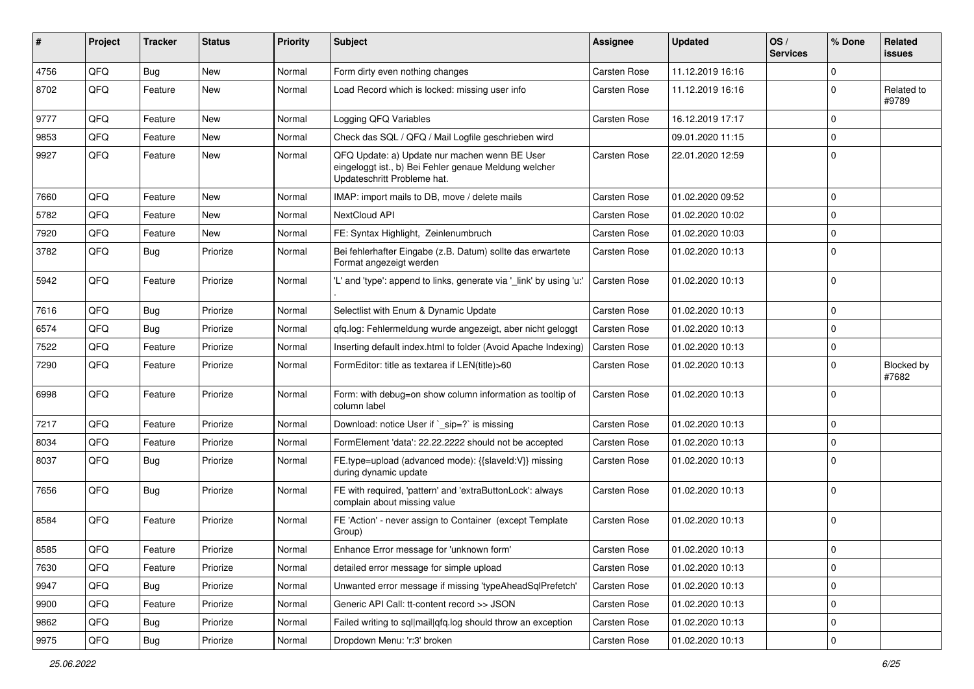| ∦    | Project | <b>Tracker</b> | <b>Status</b> | <b>Priority</b> | Subject                                                                                                                               | Assignee            | <b>Updated</b>   | OS/<br><b>Services</b> | % Done      | Related<br>issues          |
|------|---------|----------------|---------------|-----------------|---------------------------------------------------------------------------------------------------------------------------------------|---------------------|------------------|------------------------|-------------|----------------------------|
| 4756 | QFQ     | Bug            | New           | Normal          | Form dirty even nothing changes                                                                                                       | <b>Carsten Rose</b> | 11.12.2019 16:16 |                        | $\Omega$    |                            |
| 8702 | QFQ     | Feature        | New           | Normal          | Load Record which is locked: missing user info                                                                                        | Carsten Rose        | 11.12.2019 16:16 |                        | $\mathbf 0$ | Related to<br>#9789        |
| 9777 | QFQ     | Feature        | <b>New</b>    | Normal          | Logging QFQ Variables                                                                                                                 | <b>Carsten Rose</b> | 16.12.2019 17:17 |                        | $\mathbf 0$ |                            |
| 9853 | QFQ     | Feature        | New           | Normal          | Check das SQL / QFQ / Mail Logfile geschrieben wird                                                                                   |                     | 09.01.2020 11:15 |                        | $\mathbf 0$ |                            |
| 9927 | QFQ     | Feature        | New           | Normal          | QFQ Update: a) Update nur machen wenn BE User<br>eingeloggt ist., b) Bei Fehler genaue Meldung welcher<br>Updateschritt Probleme hat. | Carsten Rose        | 22.01.2020 12:59 |                        | $\mathbf 0$ |                            |
| 7660 | QFQ     | Feature        | <b>New</b>    | Normal          | IMAP: import mails to DB, move / delete mails                                                                                         | <b>Carsten Rose</b> | 01.02.2020 09:52 |                        | $\mathbf 0$ |                            |
| 5782 | QFQ     | Feature        | New           | Normal          | NextCloud API                                                                                                                         | <b>Carsten Rose</b> | 01.02.2020 10:02 |                        | $\Omega$    |                            |
| 7920 | QFQ     | Feature        | New           | Normal          | FE: Syntax Highlight, Zeinlenumbruch                                                                                                  | <b>Carsten Rose</b> | 01.02.2020 10:03 |                        | $\mathbf 0$ |                            |
| 3782 | QFQ     | <b>Bug</b>     | Priorize      | Normal          | Bei fehlerhafter Eingabe (z.B. Datum) sollte das erwartete<br>Format angezeigt werden                                                 | Carsten Rose        | 01.02.2020 10:13 |                        | $\Omega$    |                            |
| 5942 | QFQ     | Feature        | Priorize      | Normal          | "L' and 'type': append to links, generate via ' link' by using 'u:'                                                                   | <b>Carsten Rose</b> | 01.02.2020 10:13 |                        | $\Omega$    |                            |
| 7616 | QFQ     | Bug            | Priorize      | Normal          | Selectlist with Enum & Dynamic Update                                                                                                 | Carsten Rose        | 01.02.2020 10:13 |                        | 0           |                            |
| 6574 | QFQ     | Bug            | Priorize      | Normal          | gfg.log: Fehlermeldung wurde angezeigt, aber nicht geloggt                                                                            | <b>Carsten Rose</b> | 01.02.2020 10:13 |                        | $\mathbf 0$ |                            |
| 7522 | QFQ     | Feature        | Priorize      | Normal          | Inserting default index.html to folder (Avoid Apache Indexing)                                                                        | <b>Carsten Rose</b> | 01.02.2020 10:13 |                        | $\mathbf 0$ |                            |
| 7290 | QFQ     | Feature        | Priorize      | Normal          | FormEditor: title as textarea if LEN(title)>60                                                                                        | Carsten Rose        | 01.02.2020 10:13 |                        | $\mathbf 0$ | <b>Blocked by</b><br>#7682 |
| 6998 | QFQ     | Feature        | Priorize      | Normal          | Form: with debug=on show column information as tooltip of<br>column label                                                             | Carsten Rose        | 01.02.2020 10:13 |                        | $\Omega$    |                            |
| 7217 | QFQ     | Feature        | Priorize      | Normal          | Download: notice User if `_sip=?` is missing                                                                                          | <b>Carsten Rose</b> | 01.02.2020 10:13 |                        | $\mathbf 0$ |                            |
| 8034 | QFQ     | Feature        | Priorize      | Normal          | FormElement 'data': 22.22.2222 should not be accepted                                                                                 | Carsten Rose        | 01.02.2020 10:13 |                        | $\mathbf 0$ |                            |
| 8037 | QFQ     | Bug            | Priorize      | Normal          | FE.type=upload (advanced mode): {{slaveId:V}} missing<br>during dynamic update                                                        | Carsten Rose        | 01.02.2020 10:13 |                        | $\mathbf 0$ |                            |
| 7656 | QFQ     | Bug            | Priorize      | Normal          | FE with required, 'pattern' and 'extraButtonLock': always<br>complain about missing value                                             | Carsten Rose        | 01.02.2020 10:13 |                        | $\mathbf 0$ |                            |
| 8584 | QFQ     | Feature        | Priorize      | Normal          | FE 'Action' - never assign to Container (except Template<br>Group)                                                                    | Carsten Rose        | 01.02.2020 10:13 |                        | $\Omega$    |                            |
| 8585 | QFG     | Feature        | Priorize      | Normal          | Enhance Error message for 'unknown form'                                                                                              | Carsten Rose        | 01.02.2020 10:13 |                        | 0           |                            |
| 7630 | QFQ     | Feature        | Priorize      | Normal          | detailed error message for simple upload                                                                                              | Carsten Rose        | 01.02.2020 10:13 |                        | $\mathbf 0$ |                            |
| 9947 | QFQ     | Bug            | Priorize      | Normal          | Unwanted error message if missing 'typeAheadSqlPrefetch'                                                                              | Carsten Rose        | 01.02.2020 10:13 |                        | $\mathbf 0$ |                            |
| 9900 | QFQ     | Feature        | Priorize      | Normal          | Generic API Call: tt-content record >> JSON                                                                                           | Carsten Rose        | 01.02.2020 10:13 |                        | 0           |                            |
| 9862 | QFQ     | <b>Bug</b>     | Priorize      | Normal          | Failed writing to sql mail qfq.log should throw an exception                                                                          | Carsten Rose        | 01.02.2020 10:13 |                        | 0           |                            |
| 9975 | QFQ     | Bug            | Priorize      | Normal          | Dropdown Menu: 'r:3' broken                                                                                                           | Carsten Rose        | 01.02.2020 10:13 |                        | 0           |                            |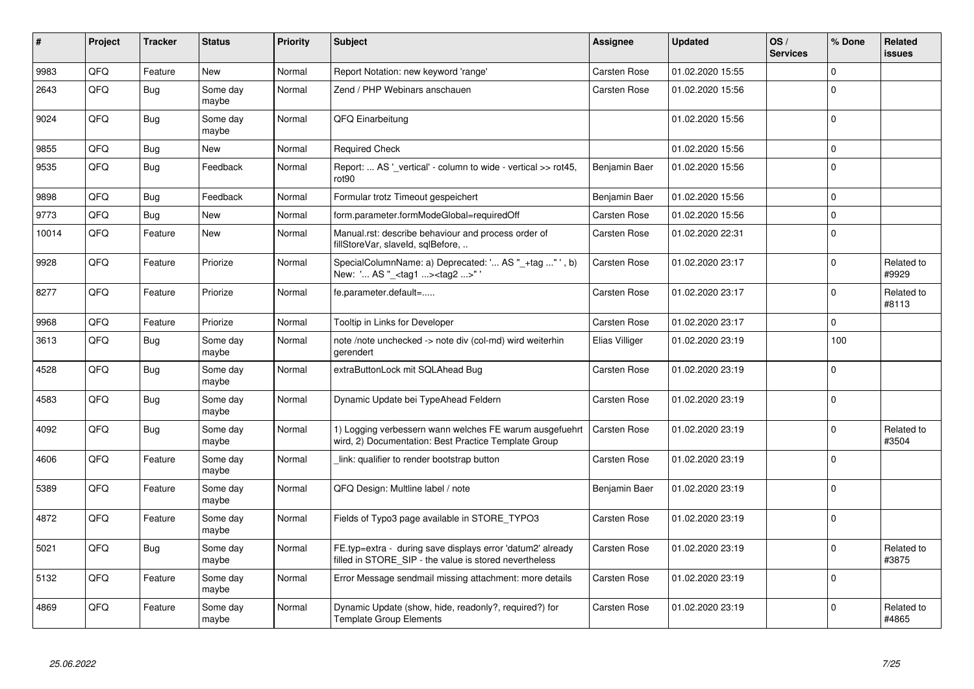| #     | Project | <b>Tracker</b> | <b>Status</b>     | <b>Priority</b> | <b>Subject</b>                                                                                                       | <b>Assignee</b>     | <b>Updated</b>   | OS/<br><b>Services</b> | % Done      | Related<br><b>issues</b> |
|-------|---------|----------------|-------------------|-----------------|----------------------------------------------------------------------------------------------------------------------|---------------------|------------------|------------------------|-------------|--------------------------|
| 9983  | QFQ     | Feature        | <b>New</b>        | Normal          | Report Notation: new keyword 'range'                                                                                 | <b>Carsten Rose</b> | 01.02.2020 15:55 |                        | $\Omega$    |                          |
| 2643  | QFQ     | Bug            | Some day<br>maybe | Normal          | Zend / PHP Webinars anschauen                                                                                        | Carsten Rose        | 01.02.2020 15:56 |                        | $\Omega$    |                          |
| 9024  | QFQ     | <b>Bug</b>     | Some day<br>maybe | Normal          | QFQ Einarbeitung                                                                                                     |                     | 01.02.2020 15:56 |                        | $\Omega$    |                          |
| 9855  | QFQ     | <b>Bug</b>     | New               | Normal          | <b>Required Check</b>                                                                                                |                     | 01.02.2020 15:56 |                        | $\mathbf 0$ |                          |
| 9535  | QFQ     | <b>Bug</b>     | Feedback          | Normal          | Report:  AS ' vertical' - column to wide - vertical >> rot45,<br>rot <sub>90</sub>                                   | Benjamin Baer       | 01.02.2020 15:56 |                        | $\Omega$    |                          |
| 9898  | QFQ     | <b>Bug</b>     | Feedback          | Normal          | Formular trotz Timeout gespeichert                                                                                   | Benjamin Baer       | 01.02.2020 15:56 |                        | $\mathbf 0$ |                          |
| 9773  | QFQ     | <b>Bug</b>     | <b>New</b>        | Normal          | form.parameter.formModeGlobal=requiredOff                                                                            | Carsten Rose        | 01.02.2020 15:56 |                        | $\Omega$    |                          |
| 10014 | QFQ     | Feature        | New               | Normal          | Manual.rst: describe behaviour and process order of<br>fillStoreVar, slaveId, sqlBefore,                             | Carsten Rose        | 01.02.2020 22:31 |                        | $\Omega$    |                          |
| 9928  | QFQ     | Feature        | Priorize          | Normal          | SpecialColumnName: a) Deprecated: ' AS "_+tag " ', b)<br>New: ' AS " <tag1> <tag2>"</tag2></tag1>                    | <b>Carsten Rose</b> | 01.02.2020 23:17 |                        | $\Omega$    | Related to<br>#9929      |
| 8277  | QFQ     | Feature        | Priorize          | Normal          | fe.parameter.default=                                                                                                | <b>Carsten Rose</b> | 01.02.2020 23:17 |                        | $\mathbf 0$ | Related to<br>#8113      |
| 9968  | QFQ     | Feature        | Priorize          | Normal          | Tooltip in Links for Developer                                                                                       | <b>Carsten Rose</b> | 01.02.2020 23:17 |                        | $\mathbf 0$ |                          |
| 3613  | QFQ     | Bug            | Some dav<br>maybe | Normal          | note /note unchecked -> note div (col-md) wird weiterhin<br>gerendert                                                | Elias Villiger      | 01.02.2020 23:19 |                        | 100         |                          |
| 4528  | QFQ     | <b>Bug</b>     | Some day<br>maybe | Normal          | extraButtonLock mit SQLAhead Bug                                                                                     | Carsten Rose        | 01.02.2020 23:19 |                        | $\Omega$    |                          |
| 4583  | QFQ     | Bug            | Some day<br>maybe | Normal          | Dynamic Update bei TypeAhead Feldern                                                                                 | <b>Carsten Rose</b> | 01.02.2020 23:19 |                        | $\mathbf 0$ |                          |
| 4092  | QFQ     | <b>Bug</b>     | Some day<br>maybe | Normal          | 1) Logging verbessern wann welches FE warum ausgefuehrt<br>wird, 2) Documentation: Best Practice Template Group      | <b>Carsten Rose</b> | 01.02.2020 23:19 |                        | $\mathbf 0$ | Related to<br>#3504      |
| 4606  | QFQ     | Feature        | Some day<br>maybe | Normal          | link: qualifier to render bootstrap button                                                                           | Carsten Rose        | 01.02.2020 23:19 |                        | $\Omega$    |                          |
| 5389  | QFQ     | Feature        | Some day<br>maybe | Normal          | QFQ Design: Multline label / note                                                                                    | Benjamin Baer       | 01.02.2020 23:19 |                        | $\Omega$    |                          |
| 4872  | QFQ     | Feature        | Some day<br>maybe | Normal          | Fields of Typo3 page available in STORE_TYPO3                                                                        | Carsten Rose        | 01.02.2020 23:19 |                        | $\Omega$    |                          |
| 5021  | QFQ     | <b>Bug</b>     | Some dav<br>maybe | Normal          | FE.typ=extra - during save displays error 'datum2' already<br>filled in STORE_SIP - the value is stored nevertheless | <b>Carsten Rose</b> | 01.02.2020 23:19 |                        | $\Omega$    | Related to<br>#3875      |
| 5132  | QFQ     | Feature        | Some day<br>maybe | Normal          | Error Message sendmail missing attachment: more details                                                              | Carsten Rose        | 01.02.2020 23:19 |                        | $\Omega$    |                          |
| 4869  | QFQ     | Feature        | Some day<br>maybe | Normal          | Dynamic Update (show, hide, readonly?, required?) for<br><b>Template Group Elements</b>                              | Carsten Rose        | 01.02.2020 23:19 |                        | $\Omega$    | Related to<br>#4865      |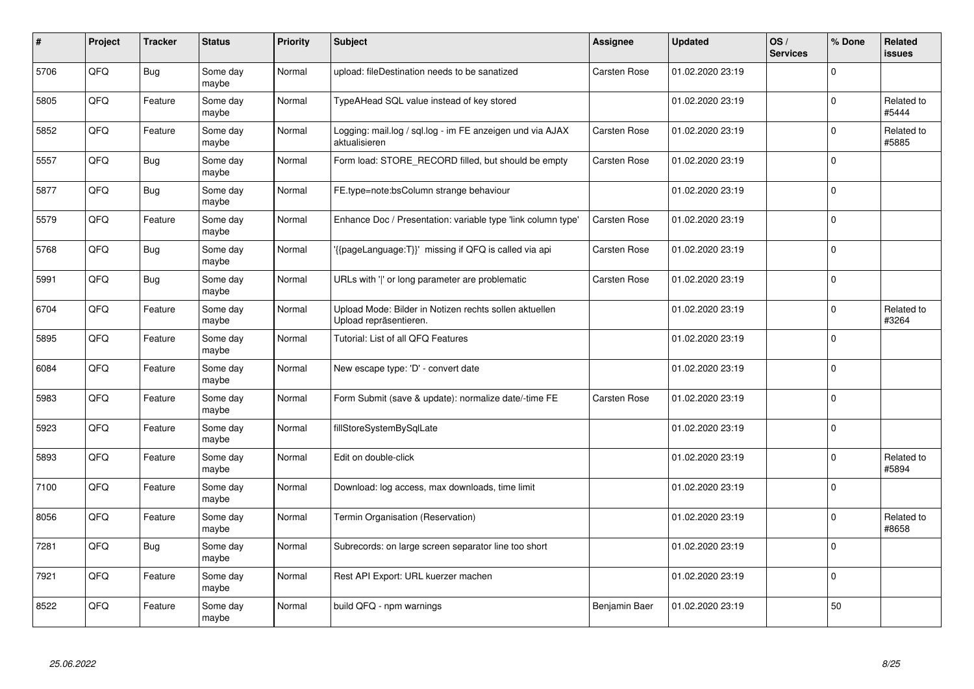| #    | Project | <b>Tracker</b> | <b>Status</b>     | <b>Priority</b> | <b>Subject</b>                                                                   | <b>Assignee</b>     | <b>Updated</b>   | OS/<br><b>Services</b> | % Done       | Related<br>issues   |
|------|---------|----------------|-------------------|-----------------|----------------------------------------------------------------------------------|---------------------|------------------|------------------------|--------------|---------------------|
| 5706 | QFQ     | <b>Bug</b>     | Some day<br>maybe | Normal          | upload: fileDestination needs to be sanatized                                    | <b>Carsten Rose</b> | 01.02.2020 23:19 |                        | 0            |                     |
| 5805 | QFQ     | Feature        | Some day<br>maybe | Normal          | TypeAHead SQL value instead of key stored                                        |                     | 01.02.2020 23:19 |                        | $\mathbf{0}$ | Related to<br>#5444 |
| 5852 | QFQ     | Feature        | Some day<br>maybe | Normal          | Logging: mail.log / sql.log - im FE anzeigen und via AJAX<br>aktualisieren       | <b>Carsten Rose</b> | 01.02.2020 23:19 |                        | 0            | Related to<br>#5885 |
| 5557 | QFQ     | <b>Bug</b>     | Some day<br>maybe | Normal          | Form load: STORE_RECORD filled, but should be empty                              | Carsten Rose        | 01.02.2020 23:19 |                        | $\Omega$     |                     |
| 5877 | QFQ     | <b>Bug</b>     | Some day<br>maybe | Normal          | FE.type=note:bsColumn strange behaviour                                          |                     | 01.02.2020 23:19 |                        | $\mathbf 0$  |                     |
| 5579 | QFQ     | Feature        | Some day<br>maybe | Normal          | Enhance Doc / Presentation: variable type 'link column type'                     | <b>Carsten Rose</b> | 01.02.2020 23:19 |                        | $\Omega$     |                     |
| 5768 | QFQ     | <b>Bug</b>     | Some day<br>maybe | Normal          | '{{pageLanguage:T}}' missing if QFQ is called via api                            | <b>Carsten Rose</b> | 01.02.2020 23:19 |                        | $\mathbf{0}$ |                     |
| 5991 | QFQ     | <b>Bug</b>     | Some day<br>maybe | Normal          | URLs with ' ' or long parameter are problematic                                  | <b>Carsten Rose</b> | 01.02.2020 23:19 |                        | 0            |                     |
| 6704 | QFQ     | Feature        | Some day<br>maybe | Normal          | Upload Mode: Bilder in Notizen rechts sollen aktuellen<br>Upload repräsentieren. |                     | 01.02.2020 23:19 |                        | 0            | Related to<br>#3264 |
| 5895 | QFQ     | Feature        | Some day<br>maybe | Normal          | Tutorial: List of all QFQ Features                                               |                     | 01.02.2020 23:19 |                        | $\mathbf 0$  |                     |
| 6084 | QFQ     | Feature        | Some day<br>maybe | Normal          | New escape type: 'D' - convert date                                              |                     | 01.02.2020 23:19 |                        | $\mathbf 0$  |                     |
| 5983 | QFQ     | Feature        | Some day<br>maybe | Normal          | Form Submit (save & update): normalize date/-time FE                             | <b>Carsten Rose</b> | 01.02.2020 23:19 |                        | $\mathbf 0$  |                     |
| 5923 | QFQ     | Feature        | Some day<br>maybe | Normal          | fillStoreSystemBySqlLate                                                         |                     | 01.02.2020 23:19 |                        | $\mathbf 0$  |                     |
| 5893 | QFQ     | Feature        | Some day<br>maybe | Normal          | Edit on double-click                                                             |                     | 01.02.2020 23:19 |                        | 0            | Related to<br>#5894 |
| 7100 | QFQ     | Feature        | Some day<br>maybe | Normal          | Download: log access, max downloads, time limit                                  |                     | 01.02.2020 23:19 |                        | $\Omega$     |                     |
| 8056 | QFQ     | Feature        | Some day<br>maybe | Normal          | Termin Organisation (Reservation)                                                |                     | 01.02.2020 23:19 |                        | $\Omega$     | Related to<br>#8658 |
| 7281 | QFQ     | Bug            | Some day<br>maybe | Normal          | Subrecords: on large screen separator line too short                             |                     | 01.02.2020 23:19 |                        | 0            |                     |
| 7921 | QFG     | Feature        | Some day<br>maybe | Normal          | Rest API Export: URL kuerzer machen                                              |                     | 01.02.2020 23:19 |                        | 0            |                     |
| 8522 | QFQ     | Feature        | Some day<br>maybe | Normal          | build QFQ - npm warnings                                                         | Benjamin Baer       | 01.02.2020 23:19 |                        | 50           |                     |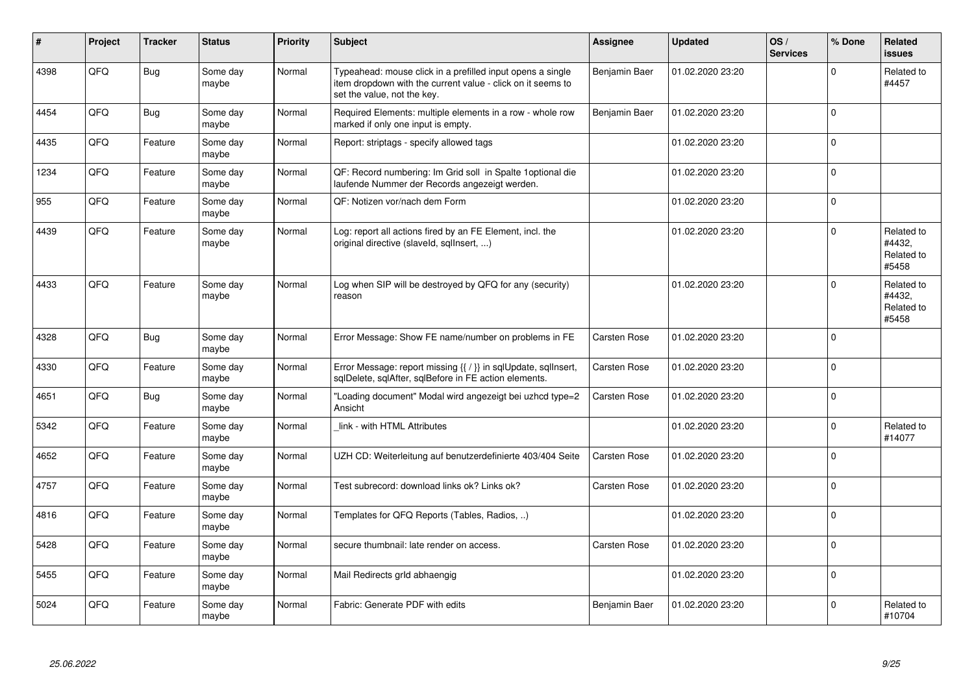| #    | Project | <b>Tracker</b> | <b>Status</b>     | <b>Priority</b> | <b>Subject</b>                                                                                                                                           | Assignee            | <b>Updated</b>   | OS/<br><b>Services</b> | % Done       | Related<br>issues                           |
|------|---------|----------------|-------------------|-----------------|----------------------------------------------------------------------------------------------------------------------------------------------------------|---------------------|------------------|------------------------|--------------|---------------------------------------------|
| 4398 | QFQ     | <b>Bug</b>     | Some day<br>maybe | Normal          | Typeahead: mouse click in a prefilled input opens a single<br>item dropdown with the current value - click on it seems to<br>set the value, not the key. | Benjamin Baer       | 01.02.2020 23:20 |                        | $\Omega$     | Related to<br>#4457                         |
| 4454 | QFQ     | <b>Bug</b>     | Some day<br>maybe | Normal          | Required Elements: multiple elements in a row - whole row<br>marked if only one input is empty.                                                          | Benjamin Baer       | 01.02.2020 23:20 |                        | $\Omega$     |                                             |
| 4435 | QFQ     | Feature        | Some day<br>maybe | Normal          | Report: striptags - specify allowed tags                                                                                                                 |                     | 01.02.2020 23:20 |                        | $\mathbf 0$  |                                             |
| 1234 | QFQ     | Feature        | Some day<br>maybe | Normal          | QF: Record numbering: Im Grid soll in Spalte 1optional die<br>laufende Nummer der Records angezeigt werden.                                              |                     | 01.02.2020 23:20 |                        | $\Omega$     |                                             |
| 955  | QFQ     | Feature        | Some day<br>maybe | Normal          | QF: Notizen vor/nach dem Form                                                                                                                            |                     | 01.02.2020 23:20 |                        | $\Omega$     |                                             |
| 4439 | QFQ     | Feature        | Some day<br>maybe | Normal          | Log: report all actions fired by an FE Element, incl. the<br>original directive (slaveld, sgllnsert, )                                                   |                     | 01.02.2020 23:20 |                        | $\Omega$     | Related to<br>#4432,<br>Related to<br>#5458 |
| 4433 | QFQ     | Feature        | Some day<br>maybe | Normal          | Log when SIP will be destroyed by QFQ for any (security)<br>reason                                                                                       |                     | 01.02.2020 23:20 |                        | $\mathbf 0$  | Related to<br>#4432,<br>Related to<br>#5458 |
| 4328 | QFQ     | <b>Bug</b>     | Some day<br>maybe | Normal          | Error Message: Show FE name/number on problems in FE                                                                                                     | Carsten Rose        | 01.02.2020 23:20 |                        | $\Omega$     |                                             |
| 4330 | QFQ     | Feature        | Some day<br>maybe | Normal          | Error Message: report missing {{ / }} in sqlUpdate, sqlInsert,<br>sqlDelete, sqlAfter, sqlBefore in FE action elements.                                  | Carsten Rose        | 01.02.2020 23:20 |                        | $\Omega$     |                                             |
| 4651 | QFQ     | Bug            | Some day<br>maybe | Normal          | "Loading document" Modal wird angezeigt bei uzhcd type=2<br>Ansicht                                                                                      | Carsten Rose        | 01.02.2020 23:20 |                        | $\mathbf 0$  |                                             |
| 5342 | QFQ     | Feature        | Some day<br>maybe | Normal          | link - with HTML Attributes                                                                                                                              |                     | 01.02.2020 23:20 |                        | $\mathbf{0}$ | Related to<br>#14077                        |
| 4652 | QFQ     | Feature        | Some day<br>maybe | Normal          | UZH CD: Weiterleitung auf benutzerdefinierte 403/404 Seite                                                                                               | <b>Carsten Rose</b> | 01.02.2020 23:20 |                        | $\Omega$     |                                             |
| 4757 | QFQ     | Feature        | Some day<br>maybe | Normal          | Test subrecord: download links ok? Links ok?                                                                                                             | Carsten Rose        | 01.02.2020 23:20 |                        | $\Omega$     |                                             |
| 4816 | QFQ     | Feature        | Some day<br>maybe | Normal          | Templates for QFQ Reports (Tables, Radios, )                                                                                                             |                     | 01.02.2020 23:20 |                        | $\Omega$     |                                             |
| 5428 | QFQ     | Feature        | Some day<br>maybe | Normal          | secure thumbnail: late render on access.                                                                                                                 | Carsten Rose        | 01.02.2020 23:20 |                        | $\mathbf 0$  |                                             |
| 5455 | QFQ     | Feature        | Some day<br>maybe | Normal          | Mail Redirects grld abhaengig                                                                                                                            |                     | 01.02.2020 23:20 |                        | $\Omega$     |                                             |
| 5024 | QFQ     | Feature        | Some day<br>maybe | Normal          | Fabric: Generate PDF with edits                                                                                                                          | Benjamin Baer       | 01.02.2020 23:20 |                        | $\Omega$     | Related to<br>#10704                        |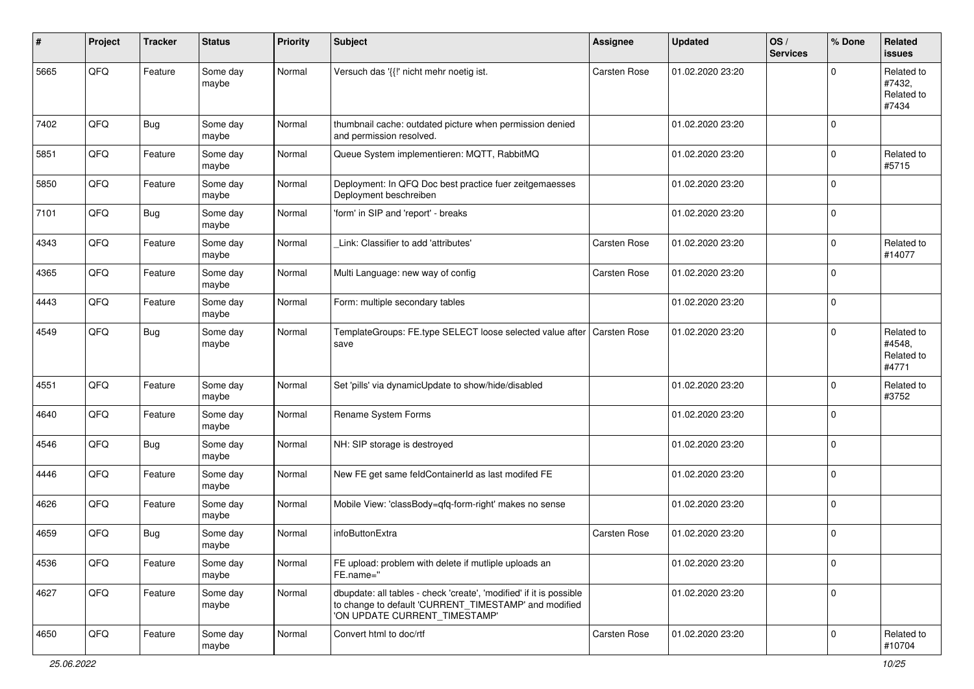| #    | Project | <b>Tracker</b> | <b>Status</b>     | <b>Priority</b> | <b>Subject</b>                                                                                                                                                | <b>Assignee</b>     | <b>Updated</b>   | OS/<br><b>Services</b> | % Done      | Related<br><b>issues</b>                    |
|------|---------|----------------|-------------------|-----------------|---------------------------------------------------------------------------------------------------------------------------------------------------------------|---------------------|------------------|------------------------|-------------|---------------------------------------------|
| 5665 | QFQ     | Feature        | Some day<br>maybe | Normal          | Versuch das '{{!' nicht mehr noetig ist.                                                                                                                      | <b>Carsten Rose</b> | 01.02.2020 23:20 |                        | 0           | Related to<br>#7432,<br>Related to<br>#7434 |
| 7402 | QFQ     | <b>Bug</b>     | Some day<br>maybe | Normal          | thumbnail cache: outdated picture when permission denied<br>and permission resolved.                                                                          |                     | 01.02.2020 23:20 |                        | $\Omega$    |                                             |
| 5851 | QFQ     | Feature        | Some day<br>maybe | Normal          | Queue System implementieren: MQTT, RabbitMQ                                                                                                                   |                     | 01.02.2020 23:20 |                        | $\mathbf 0$ | Related to<br>#5715                         |
| 5850 | QFQ     | Feature        | Some day<br>maybe | Normal          | Deployment: In QFQ Doc best practice fuer zeitgemaesses<br>Deployment beschreiben                                                                             |                     | 01.02.2020 23:20 |                        | 0           |                                             |
| 7101 | QFQ     | <b>Bug</b>     | Some day<br>maybe | Normal          | 'form' in SIP and 'report' - breaks                                                                                                                           |                     | 01.02.2020 23:20 |                        | $\Omega$    |                                             |
| 4343 | QFQ     | Feature        | Some day<br>maybe | Normal          | Link: Classifier to add 'attributes'                                                                                                                          | <b>Carsten Rose</b> | 01.02.2020 23:20 |                        | 0           | Related to<br>#14077                        |
| 4365 | QFQ     | Feature        | Some day<br>maybe | Normal          | Multi Language: new way of config                                                                                                                             | Carsten Rose        | 01.02.2020 23:20 |                        | $\Omega$    |                                             |
| 4443 | QFQ     | Feature        | Some day<br>maybe | Normal          | Form: multiple secondary tables                                                                                                                               |                     | 01.02.2020 23:20 |                        | $\mathbf 0$ |                                             |
| 4549 | QFQ     | <b>Bug</b>     | Some day<br>maybe | Normal          | TemplateGroups: FE.type SELECT loose selected value after<br>save                                                                                             | <b>Carsten Rose</b> | 01.02.2020 23:20 |                        | 0           | Related to<br>#4548,<br>Related to<br>#4771 |
| 4551 | QFQ     | Feature        | Some day<br>maybe | Normal          | Set 'pills' via dynamicUpdate to show/hide/disabled                                                                                                           |                     | 01.02.2020 23:20 |                        | $\Omega$    | Related to<br>#3752                         |
| 4640 | QFQ     | Feature        | Some day<br>maybe | Normal          | Rename System Forms                                                                                                                                           |                     | 01.02.2020 23:20 |                        | $\Omega$    |                                             |
| 4546 | QFQ     | Bug            | Some day<br>maybe | Normal          | NH: SIP storage is destroyed                                                                                                                                  |                     | 01.02.2020 23:20 |                        | $\mathbf 0$ |                                             |
| 4446 | QFQ     | Feature        | Some day<br>maybe | Normal          | New FE get same feldContainerId as last modifed FE                                                                                                            |                     | 01.02.2020 23:20 |                        | $\mathbf 0$ |                                             |
| 4626 | QFQ     | Feature        | Some day<br>maybe | Normal          | Mobile View: 'classBody=qfq-form-right' makes no sense                                                                                                        |                     | 01.02.2020 23:20 |                        | $\mathbf 0$ |                                             |
| 4659 | QFQ     | <b>Bug</b>     | Some day<br>maybe | Normal          | infoButtonExtra                                                                                                                                               | Carsten Rose        | 01.02.2020 23:20 |                        | 0           |                                             |
| 4536 | QFQ     | Feature        | Some day<br>maybe | Normal          | FE upload: problem with delete if mutliple uploads an<br>FE.name="                                                                                            |                     | 01.02.2020 23:20 |                        | $\mathbf 0$ |                                             |
| 4627 | QFQ     | Feature        | Some day<br>maybe | Normal          | dbupdate: all tables - check 'create', 'modified' if it is possible<br>to change to default 'CURRENT_TIMESTAMP' and modified<br>'ON UPDATE CURRENT_TIMESTAMP' |                     | 01.02.2020 23:20 |                        | 0           |                                             |
| 4650 | QFG     | Feature        | Some day<br>maybe | Normal          | Convert html to doc/rtf                                                                                                                                       | <b>Carsten Rose</b> | 01.02.2020 23:20 |                        | 0           | Related to<br>#10704                        |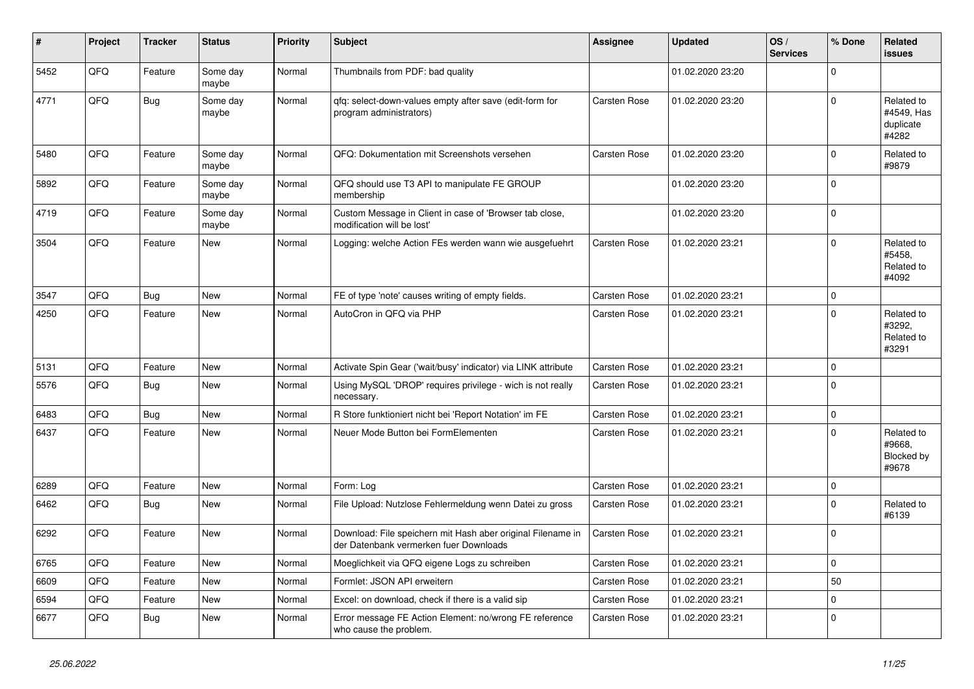| ∦    | Project | <b>Tracker</b> | <b>Status</b>     | <b>Priority</b> | <b>Subject</b>                                                                                        | Assignee            | <b>Updated</b>   | OS/<br><b>Services</b> | % Done      | Related<br><b>issues</b>                       |
|------|---------|----------------|-------------------|-----------------|-------------------------------------------------------------------------------------------------------|---------------------|------------------|------------------------|-------------|------------------------------------------------|
| 5452 | QFQ     | Feature        | Some day<br>maybe | Normal          | Thumbnails from PDF: bad quality                                                                      |                     | 01.02.2020 23:20 |                        | $\Omega$    |                                                |
| 4771 | QFQ     | <b>Bug</b>     | Some day<br>maybe | Normal          | qfq: select-down-values empty after save (edit-form for<br>program administrators)                    | <b>Carsten Rose</b> | 01.02.2020 23:20 |                        | $\Omega$    | Related to<br>#4549, Has<br>duplicate<br>#4282 |
| 5480 | QFQ     | Feature        | Some day<br>maybe | Normal          | QFQ: Dokumentation mit Screenshots versehen                                                           | Carsten Rose        | 01.02.2020 23:20 |                        | $\Omega$    | Related to<br>#9879                            |
| 5892 | QFQ     | Feature        | Some day<br>maybe | Normal          | QFQ should use T3 API to manipulate FE GROUP<br>membership                                            |                     | 01.02.2020 23:20 |                        | $\Omega$    |                                                |
| 4719 | QFQ     | Feature        | Some day<br>maybe | Normal          | Custom Message in Client in case of 'Browser tab close,<br>modification will be lost'                 |                     | 01.02.2020 23:20 |                        | 0           |                                                |
| 3504 | QFQ     | Feature        | New               | Normal          | Logging: welche Action FEs werden wann wie ausgefuehrt                                                | Carsten Rose        | 01.02.2020 23:21 |                        | $\Omega$    | Related to<br>#5458.<br>Related to<br>#4092    |
| 3547 | QFQ     | <b>Bug</b>     | New               | Normal          | FE of type 'note' causes writing of empty fields.                                                     | Carsten Rose        | 01.02.2020 23:21 |                        | 0           |                                                |
| 4250 | QFQ     | Feature        | New               | Normal          | AutoCron in QFQ via PHP                                                                               | Carsten Rose        | 01.02.2020 23:21 |                        | $\Omega$    | Related to<br>#3292,<br>Related to<br>#3291    |
| 5131 | QFQ     | Feature        | <b>New</b>        | Normal          | Activate Spin Gear ('wait/busy' indicator) via LINK attribute                                         | <b>Carsten Rose</b> | 01.02.2020 23:21 |                        | 0 I         |                                                |
| 5576 | QFQ     | Bug            | New               | Normal          | Using MySQL 'DROP' requires privilege - wich is not really<br>necessary.                              | Carsten Rose        | 01.02.2020 23:21 |                        | $\Omega$    |                                                |
| 6483 | QFQ     | <b>Bug</b>     | New               | Normal          | R Store funktioniert nicht bei 'Report Notation' im FE                                                | Carsten Rose        | 01.02.2020 23:21 |                        | $\mathbf 0$ |                                                |
| 6437 | QFQ     | Feature        | New               | Normal          | Neuer Mode Button bei FormElementen                                                                   | Carsten Rose        | 01.02.2020 23:21 |                        | $\Omega$    | Related to<br>#9668,<br>Blocked by<br>#9678    |
| 6289 | QFQ     | Feature        | New               | Normal          | Form: Log                                                                                             | Carsten Rose        | 01.02.2020 23:21 |                        | $\mathbf 0$ |                                                |
| 6462 | QFQ     | <b>Bug</b>     | New               | Normal          | File Upload: Nutzlose Fehlermeldung wenn Datei zu gross                                               | Carsten Rose        | 01.02.2020 23:21 |                        | $\Omega$    | Related to<br>#6139                            |
| 6292 | QFQ     | Feature        | <b>New</b>        | Normal          | Download: File speichern mit Hash aber original Filename in<br>der Datenbank vermerken fuer Downloads | Carsten Rose        | 01.02.2020 23:21 |                        | $\Omega$    |                                                |
| 6765 | QFQ     | Feature        | <b>New</b>        | Normal          | Moeglichkeit via QFQ eigene Logs zu schreiben                                                         | <b>Carsten Rose</b> | 01.02.2020 23:21 |                        | $\Omega$    |                                                |
| 6609 | QFQ     | Feature        | <b>New</b>        | Normal          | Formlet: JSON API erweitern                                                                           | <b>Carsten Rose</b> | 01.02.2020 23:21 |                        | 50          |                                                |
| 6594 | QFQ     | Feature        | New               | Normal          | Excel: on download, check if there is a valid sip                                                     | Carsten Rose        | 01.02.2020 23:21 |                        | $\Omega$    |                                                |
| 6677 | QFQ     | Bug            | New               | Normal          | Error message FE Action Element: no/wrong FE reference<br>who cause the problem.                      | Carsten Rose        | 01.02.2020 23:21 |                        | 0           |                                                |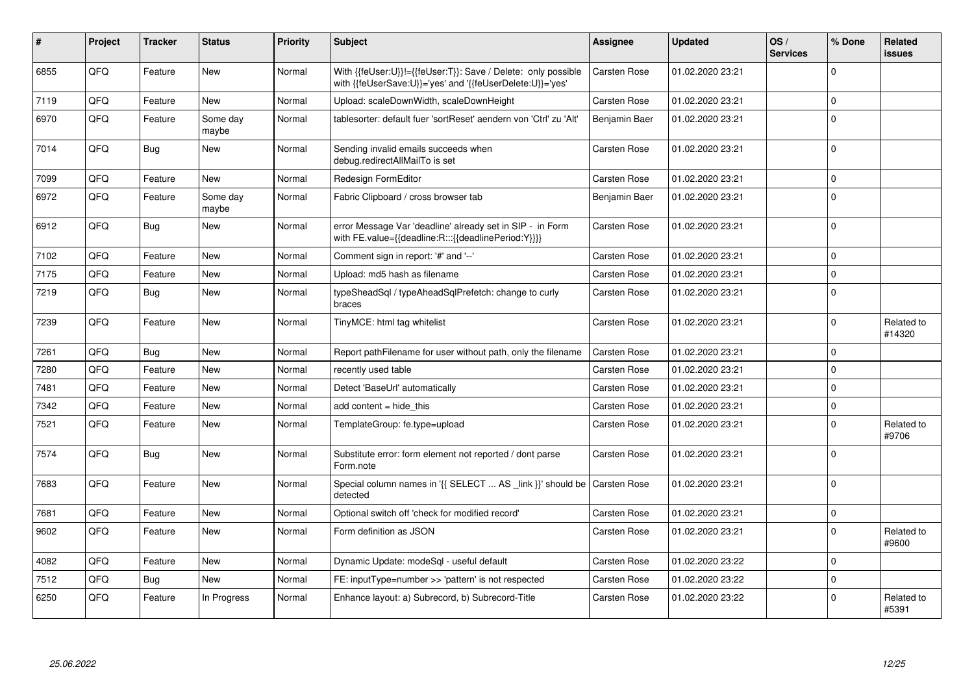| #    | Project | <b>Tracker</b> | <b>Status</b>     | <b>Priority</b> | <b>Subject</b>                                                                                                             | Assignee            | <b>Updated</b>   | OS/<br><b>Services</b> | % Done      | Related<br>issues    |
|------|---------|----------------|-------------------|-----------------|----------------------------------------------------------------------------------------------------------------------------|---------------------|------------------|------------------------|-------------|----------------------|
| 6855 | QFQ     | Feature        | New               | Normal          | With {{feUser:U}}!={{feUser:T}}: Save / Delete: only possible<br>with {{feUserSave:U}}='yes' and '{{feUserDelete:U}}='yes' | <b>Carsten Rose</b> | 01.02.2020 23:21 |                        | $\mathbf 0$ |                      |
| 7119 | QFQ     | Feature        | <b>New</b>        | Normal          | Upload: scaleDownWidth, scaleDownHeight                                                                                    | Carsten Rose        | 01.02.2020 23:21 |                        | $\mathbf 0$ |                      |
| 6970 | QFQ     | Feature        | Some day<br>maybe | Normal          | tablesorter: default fuer 'sortReset' aendern von 'Ctrl' zu 'Alt'                                                          | Benjamin Baer       | 01.02.2020 23:21 |                        | $\Omega$    |                      |
| 7014 | QFQ     | Bug            | New               | Normal          | Sending invalid emails succeeds when<br>debug.redirectAllMailTo is set                                                     | Carsten Rose        | 01.02.2020 23:21 |                        | $\Omega$    |                      |
| 7099 | QFQ     | Feature        | <b>New</b>        | Normal          | Redesign FormEditor                                                                                                        | Carsten Rose        | 01.02.2020 23:21 |                        | $\mathbf 0$ |                      |
| 6972 | QFQ     | Feature        | Some day<br>maybe | Normal          | Fabric Clipboard / cross browser tab                                                                                       | Benjamin Baer       | 01.02.2020 23:21 |                        | $\Omega$    |                      |
| 6912 | QFQ     | Bug            | New               | Normal          | error Message Var 'deadline' already set in SIP - in Form<br>with FE.value={{deadline:R:::{{deadlinePeriod:Y}}}}           | <b>Carsten Rose</b> | 01.02.2020 23:21 |                        | $\Omega$    |                      |
| 7102 | QFQ     | Feature        | <b>New</b>        | Normal          | Comment sign in report: '#' and '--'                                                                                       | <b>Carsten Rose</b> | 01.02.2020 23:21 |                        | $\mathbf 0$ |                      |
| 7175 | QFQ     | Feature        | <b>New</b>        | Normal          | Upload: md5 hash as filename                                                                                               | <b>Carsten Rose</b> | 01.02.2020 23:21 |                        | $\Omega$    |                      |
| 7219 | QFQ     | <b>Bug</b>     | <b>New</b>        | Normal          | typeSheadSql / typeAheadSqlPrefetch: change to curly<br>braces                                                             | Carsten Rose        | 01.02.2020 23:21 |                        | $\Omega$    |                      |
| 7239 | QFQ     | Feature        | <b>New</b>        | Normal          | TinyMCE: html tag whitelist                                                                                                | Carsten Rose        | 01.02.2020 23:21 |                        | $\Omega$    | Related to<br>#14320 |
| 7261 | QFQ     | <b>Bug</b>     | <b>New</b>        | Normal          | Report pathFilename for user without path, only the filename                                                               | <b>Carsten Rose</b> | 01.02.2020 23:21 |                        | $\Omega$    |                      |
| 7280 | QFQ     | Feature        | New               | Normal          | recently used table                                                                                                        | Carsten Rose        | 01.02.2020 23:21 |                        | $\Omega$    |                      |
| 7481 | QFQ     | Feature        | New               | Normal          | Detect 'BaseUrl' automatically                                                                                             | Carsten Rose        | 01.02.2020 23:21 |                        | $\Omega$    |                      |
| 7342 | QFQ     | Feature        | <b>New</b>        | Normal          | add content = hide this                                                                                                    | <b>Carsten Rose</b> | 01.02.2020 23:21 |                        | $\mathbf 0$ |                      |
| 7521 | QFQ     | Feature        | <b>New</b>        | Normal          | TemplateGroup: fe.type=upload                                                                                              | <b>Carsten Rose</b> | 01.02.2020 23:21 |                        | $\Omega$    | Related to<br>#9706  |
| 7574 | QFQ     | Bug            | New               | Normal          | Substitute error: form element not reported / dont parse<br>Form.note                                                      | Carsten Rose        | 01.02.2020 23:21 |                        | $\mathbf 0$ |                      |
| 7683 | QFQ     | Feature        | New               | Normal          | Special column names in '{{ SELECT  AS _link }}' should be<br>detected                                                     | <b>Carsten Rose</b> | 01.02.2020 23:21 |                        | $\Omega$    |                      |
| 7681 | QFQ     | Feature        | New               | Normal          | Optional switch off 'check for modified record'                                                                            | Carsten Rose        | 01.02.2020 23:21 |                        | $\mathbf 0$ |                      |
| 9602 | QFQ     | Feature        | New               | Normal          | Form definition as JSON                                                                                                    | Carsten Rose        | 01.02.2020 23:21 |                        | $\mathbf 0$ | Related to<br>#9600  |
| 4082 | QFQ     | Feature        | New               | Normal          | Dynamic Update: modeSgl - useful default                                                                                   | Carsten Rose        | 01.02.2020 23:22 |                        | $\mathbf 0$ |                      |
| 7512 | QFQ     | Bug            | <b>New</b>        | Normal          | FE: inputType=number >> 'pattern' is not respected                                                                         | <b>Carsten Rose</b> | 01.02.2020 23:22 |                        | $\mathbf 0$ |                      |
| 6250 | QFQ     | Feature        | In Progress       | Normal          | Enhance layout: a) Subrecord, b) Subrecord-Title                                                                           | Carsten Rose        | 01.02.2020 23:22 |                        | $\Omega$    | Related to<br>#5391  |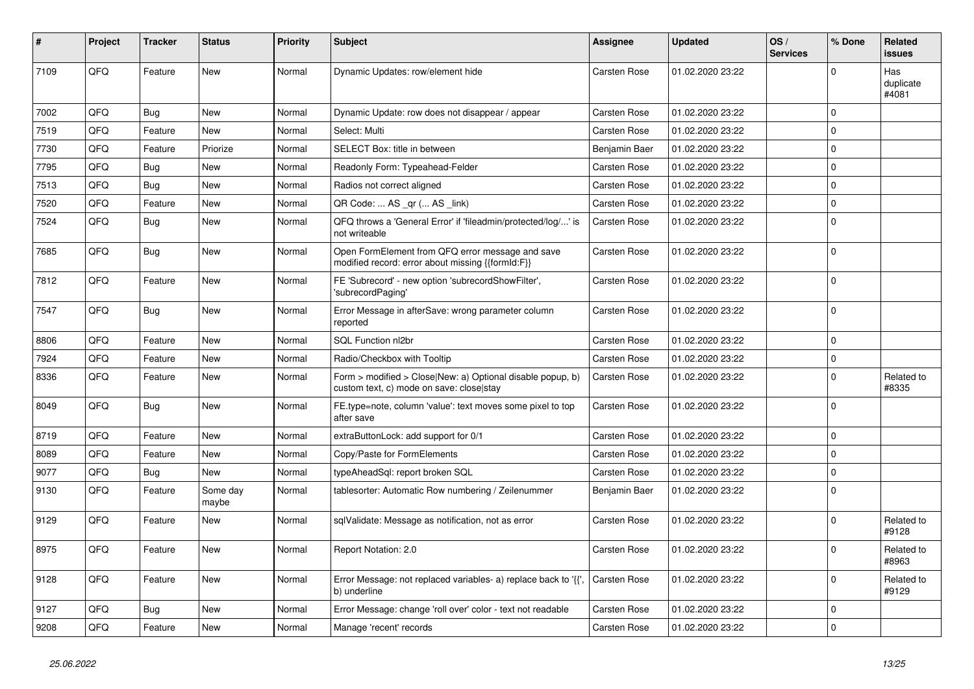| #    | Project | <b>Tracker</b> | <b>Status</b>     | <b>Priority</b> | <b>Subject</b>                                                                                         | Assignee            | <b>Updated</b>   | OS/<br><b>Services</b> | % Done       | Related<br>issues         |
|------|---------|----------------|-------------------|-----------------|--------------------------------------------------------------------------------------------------------|---------------------|------------------|------------------------|--------------|---------------------------|
| 7109 | QFQ     | Feature        | <b>New</b>        | Normal          | Dynamic Updates: row/element hide                                                                      | <b>Carsten Rose</b> | 01.02.2020 23:22 |                        | $\mathbf 0$  | Has<br>duplicate<br>#4081 |
| 7002 | QFQ     | <b>Bug</b>     | New               | Normal          | Dynamic Update: row does not disappear / appear                                                        | Carsten Rose        | 01.02.2020 23:22 |                        | $\mathbf 0$  |                           |
| 7519 | QFQ     | Feature        | New               | Normal          | Select: Multi                                                                                          | Carsten Rose        | 01.02.2020 23:22 |                        | $\mathbf 0$  |                           |
| 7730 | QFQ     | Feature        | Priorize          | Normal          | SELECT Box: title in between                                                                           | Benjamin Baer       | 01.02.2020 23:22 |                        | $\mathbf 0$  |                           |
| 7795 | QFQ     | <b>Bug</b>     | New               | Normal          | Readonly Form: Typeahead-Felder                                                                        | Carsten Rose        | 01.02.2020 23:22 |                        | $\mathbf 0$  |                           |
| 7513 | QFQ     | <b>Bug</b>     | New               | Normal          | Radios not correct aligned                                                                             | Carsten Rose        | 01.02.2020 23:22 |                        | $\Omega$     |                           |
| 7520 | QFQ     | Feature        | New               | Normal          | QR Code:  AS _qr ( AS _link)                                                                           | Carsten Rose        | 01.02.2020 23:22 |                        | $\mathsf{O}$ |                           |
| 7524 | QFQ     | <b>Bug</b>     | New               | Normal          | QFQ throws a 'General Error' if 'fileadmin/protected/log/' is<br>not writeable                         | <b>Carsten Rose</b> | 01.02.2020 23:22 |                        | $\Omega$     |                           |
| 7685 | QFQ     | Bug            | <b>New</b>        | Normal          | Open FormElement from QFQ error message and save<br>modified record: error about missing {{formId:F}}  | Carsten Rose        | 01.02.2020 23:22 |                        | $\Omega$     |                           |
| 7812 | QFQ     | Feature        | <b>New</b>        | Normal          | FE 'Subrecord' - new option 'subrecordShowFilter',<br>'subrecordPaging'                                | Carsten Rose        | 01.02.2020 23:22 |                        | $\Omega$     |                           |
| 7547 | QFQ     | Bug            | New               | Normal          | Error Message in afterSave: wrong parameter column<br>reported                                         | <b>Carsten Rose</b> | 01.02.2020 23:22 |                        | $\mathbf 0$  |                           |
| 8806 | QFQ     | Feature        | New               | Normal          | SQL Function nl2br                                                                                     | Carsten Rose        | 01.02.2020 23:22 |                        | $\mathbf 0$  |                           |
| 7924 | QFQ     | Feature        | New               | Normal          | Radio/Checkbox with Tooltip                                                                            | Carsten Rose        | 01.02.2020 23:22 |                        | $\Omega$     |                           |
| 8336 | QFQ     | Feature        | New               | Normal          | Form > modified > Close New: a) Optional disable popup, b)<br>custom text, c) mode on save: close stay | Carsten Rose        | 01.02.2020 23:22 |                        | $\Omega$     | Related to<br>#8335       |
| 8049 | QFQ     | Bug            | New               | Normal          | FE.type=note, column 'value': text moves some pixel to top<br>after save                               | Carsten Rose        | 01.02.2020 23:22 |                        | $\Omega$     |                           |
| 8719 | QFQ     | Feature        | New               | Normal          | extraButtonLock: add support for 0/1                                                                   | Carsten Rose        | 01.02.2020 23:22 |                        | $\mathbf 0$  |                           |
| 8089 | QFQ     | Feature        | New               | Normal          | Copy/Paste for FormElements                                                                            | Carsten Rose        | 01.02.2020 23:22 |                        | $\mathbf 0$  |                           |
| 9077 | QFQ     | Bug            | New               | Normal          | typeAheadSql: report broken SQL                                                                        | <b>Carsten Rose</b> | 01.02.2020 23:22 |                        | $\Omega$     |                           |
| 9130 | QFQ     | Feature        | Some day<br>maybe | Normal          | tablesorter: Automatic Row numbering / Zeilenummer                                                     | Benjamin Baer       | 01.02.2020 23:22 |                        | $\Omega$     |                           |
| 9129 | QFQ     | Feature        | New               | Normal          | sqlValidate: Message as notification, not as error                                                     | Carsten Rose        | 01.02.2020 23:22 |                        | $\mathbf 0$  | Related to<br>#9128       |
| 8975 | QFQ     | Feature        | New               | Normal          | Report Notation: 2.0                                                                                   | Carsten Rose        | 01.02.2020 23:22 |                        | $\Omega$     | Related to<br>#8963       |
| 9128 | QFQ     | Feature        | <b>New</b>        | Normal          | Error Message: not replaced variables- a) replace back to '{',<br>b) underline                         | Carsten Rose        | 01.02.2020 23:22 |                        | $\mathbf 0$  | Related to<br>#9129       |
| 9127 | QFQ     | <b>Bug</b>     | New               | Normal          | Error Message: change 'roll over' color - text not readable                                            | Carsten Rose        | 01.02.2020 23:22 |                        | $\mathbf 0$  |                           |
| 9208 | QFQ     | Feature        | New               | Normal          | Manage 'recent' records                                                                                | <b>Carsten Rose</b> | 01.02.2020 23:22 |                        | $\mathbf 0$  |                           |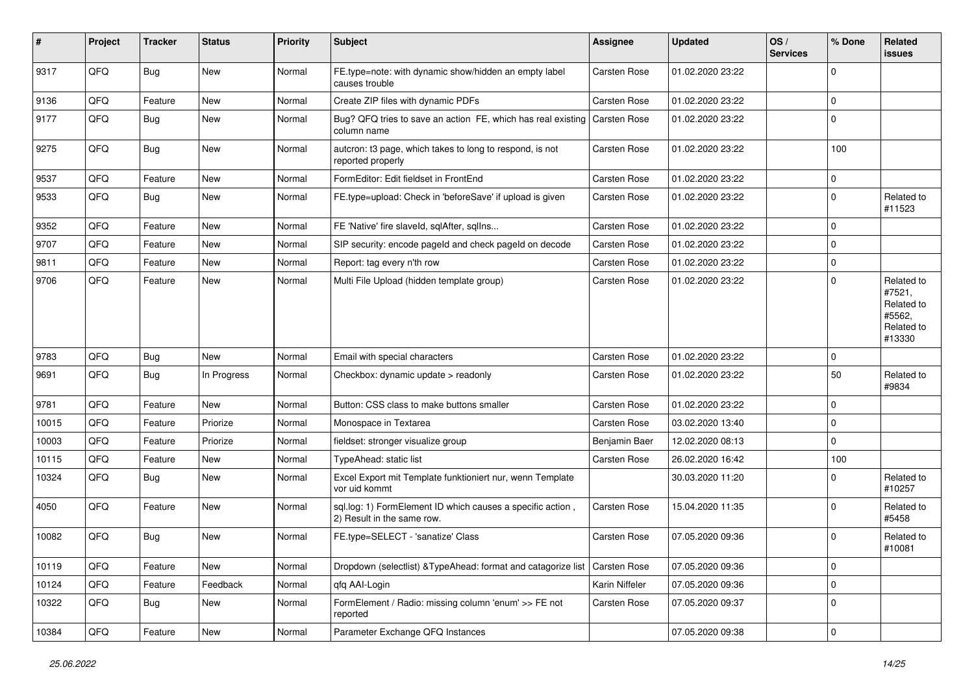| #     | Project | <b>Tracker</b> | <b>Status</b> | <b>Priority</b> | <b>Subject</b>                                                                           | <b>Assignee</b>     | <b>Updated</b>   | OS/<br><b>Services</b> | % Done      | Related<br>issues                                                    |
|-------|---------|----------------|---------------|-----------------|------------------------------------------------------------------------------------------|---------------------|------------------|------------------------|-------------|----------------------------------------------------------------------|
| 9317  | QFQ     | Bug            | New           | Normal          | FE.type=note: with dynamic show/hidden an empty label<br>causes trouble                  | Carsten Rose        | 01.02.2020 23:22 |                        | $\Omega$    |                                                                      |
| 9136  | QFQ     | Feature        | New           | Normal          | Create ZIP files with dynamic PDFs                                                       | Carsten Rose        | 01.02.2020 23:22 |                        | 0           |                                                                      |
| 9177  | QFQ     | Bug            | New           | Normal          | Bug? QFQ tries to save an action FE, which has real existing<br>column name              | <b>Carsten Rose</b> | 01.02.2020 23:22 |                        | $\Omega$    |                                                                      |
| 9275  | QFQ     | <b>Bug</b>     | New           | Normal          | autcron: t3 page, which takes to long to respond, is not<br>reported properly            | Carsten Rose        | 01.02.2020 23:22 |                        | 100         |                                                                      |
| 9537  | QFQ     | Feature        | New           | Normal          | FormEditor: Edit fieldset in FrontEnd                                                    | Carsten Rose        | 01.02.2020 23:22 |                        | $\mathbf 0$ |                                                                      |
| 9533  | QFQ     | Bug            | New           | Normal          | FE.type=upload: Check in 'beforeSave' if upload is given                                 | Carsten Rose        | 01.02.2020 23:22 |                        | 0           | Related to<br>#11523                                                 |
| 9352  | QFQ     | Feature        | New           | Normal          | FE 'Native' fire slaveld, sqlAfter, sqlIns                                               | Carsten Rose        | 01.02.2020 23:22 |                        | $\mathbf 0$ |                                                                      |
| 9707  | QFQ     | Feature        | New           | Normal          | SIP security: encode pageld and check pageld on decode                                   | Carsten Rose        | 01.02.2020 23:22 |                        | $\Omega$    |                                                                      |
| 9811  | QFQ     | Feature        | New           | Normal          | Report: tag every n'th row                                                               | Carsten Rose        | 01.02.2020 23:22 |                        | $\mathbf 0$ |                                                                      |
| 9706  | QFQ     | Feature        | New           | Normal          | Multi File Upload (hidden template group)                                                | Carsten Rose        | 01.02.2020 23:22 |                        | $\Omega$    | Related to<br>#7521,<br>Related to<br>#5562,<br>Related to<br>#13330 |
| 9783  | QFQ     | <b>Bug</b>     | <b>New</b>    | Normal          | Email with special characters                                                            | <b>Carsten Rose</b> | 01.02.2020 23:22 |                        | $\mathbf 0$ |                                                                      |
| 9691  | QFQ     | Bug            | In Progress   | Normal          | Checkbox: dynamic update > readonly                                                      | <b>Carsten Rose</b> | 01.02.2020 23:22 |                        | 50          | Related to<br>#9834                                                  |
| 9781  | QFQ     | Feature        | <b>New</b>    | Normal          | Button: CSS class to make buttons smaller                                                | Carsten Rose        | 01.02.2020 23:22 |                        | $\mathbf 0$ |                                                                      |
| 10015 | QFQ     | Feature        | Priorize      | Normal          | Monospace in Textarea                                                                    | Carsten Rose        | 03.02.2020 13:40 |                        | $\mathbf 0$ |                                                                      |
| 10003 | QFQ     | Feature        | Priorize      | Normal          | fieldset: stronger visualize group                                                       | Benjamin Baer       | 12.02.2020 08:13 |                        | $\Omega$    |                                                                      |
| 10115 | QFQ     | Feature        | New           | Normal          | TypeAhead: static list                                                                   | Carsten Rose        | 26.02.2020 16:42 |                        | 100         |                                                                      |
| 10324 | QFQ     | <b>Bug</b>     | New           | Normal          | Excel Export mit Template funktioniert nur, wenn Template<br>vor uid kommt               |                     | 30.03.2020 11:20 |                        | $\Omega$    | Related to<br>#10257                                                 |
| 4050  | QFQ     | Feature        | New           | Normal          | sql.log: 1) FormElement ID which causes a specific action,<br>2) Result in the same row. | Carsten Rose        | 15.04.2020 11:35 |                        | $\Omega$    | Related to<br>#5458                                                  |
| 10082 | QFQ     | <b>Bug</b>     | <b>New</b>    | Normal          | FE.type=SELECT - 'sanatize' Class                                                        | Carsten Rose        | 07.05.2020 09:36 |                        | $\Omega$    | Related to<br>#10081                                                 |
| 10119 | QFQ     | Feature        | New           | Normal          | Dropdown (selectlist) & TypeAhead: format and catagorize list   Carsten Rose             |                     | 07.05.2020 09:36 |                        | 0           |                                                                      |
| 10124 | QFG     | Feature        | Feedback      | Normal          | qfq AAI-Login                                                                            | Karin Niffeler      | 07.05.2020 09:36 |                        | $\mathbf 0$ |                                                                      |
| 10322 | QFQ     | <b>Bug</b>     | New           | Normal          | FormElement / Radio: missing column 'enum' >> FE not<br>reported                         | Carsten Rose        | 07.05.2020 09:37 |                        | $\mathbf 0$ |                                                                      |
| 10384 | QFG     | Feature        | New           | Normal          | Parameter Exchange QFQ Instances                                                         |                     | 07.05.2020 09:38 |                        | 0           |                                                                      |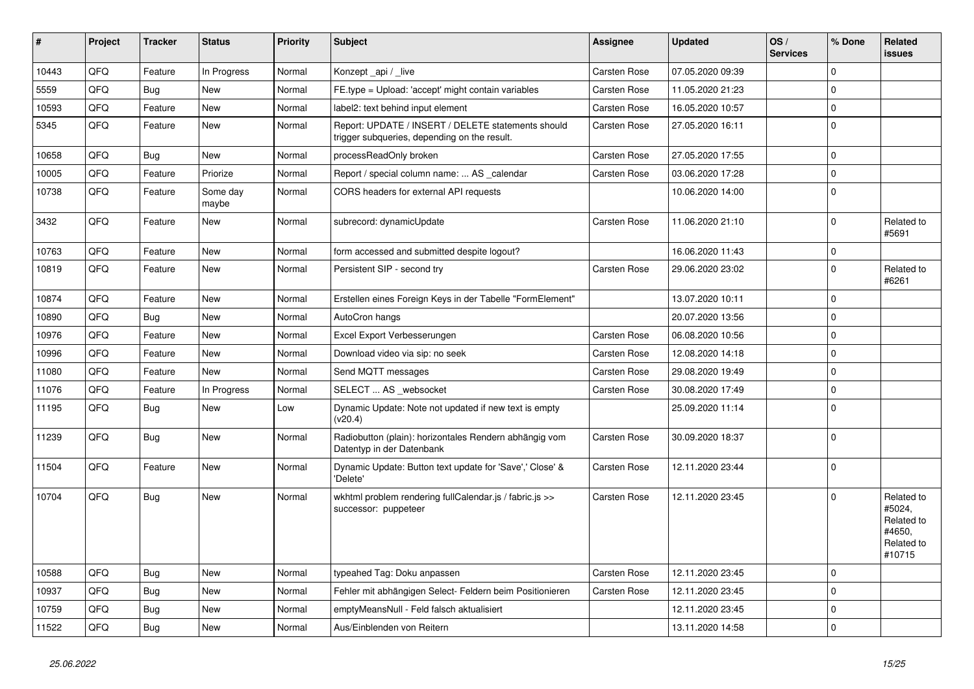| #     | Project | <b>Tracker</b> | <b>Status</b>     | <b>Priority</b> | <b>Subject</b>                                                                                     | <b>Assignee</b>     | <b>Updated</b>   | OS/<br><b>Services</b> | % Done      | Related<br>issues                                                    |
|-------|---------|----------------|-------------------|-----------------|----------------------------------------------------------------------------------------------------|---------------------|------------------|------------------------|-------------|----------------------------------------------------------------------|
| 10443 | QFQ     | Feature        | In Progress       | Normal          | Konzept_api / _live                                                                                | <b>Carsten Rose</b> | 07.05.2020 09:39 |                        | $\mathbf 0$ |                                                                      |
| 5559  | QFQ     | <b>Bug</b>     | New               | Normal          | FE.type = Upload: 'accept' might contain variables                                                 | Carsten Rose        | 11.05.2020 21:23 |                        | $\Omega$    |                                                                      |
| 10593 | QFQ     | Feature        | <b>New</b>        | Normal          | label2: text behind input element                                                                  | Carsten Rose        | 16.05.2020 10:57 |                        | $\Omega$    |                                                                      |
| 5345  | QFQ     | Feature        | New               | Normal          | Report: UPDATE / INSERT / DELETE statements should<br>trigger subqueries, depending on the result. | Carsten Rose        | 27.05.2020 16:11 |                        | $\Omega$    |                                                                      |
| 10658 | QFQ     | Bug            | <b>New</b>        | Normal          | processReadOnly broken                                                                             | <b>Carsten Rose</b> | 27.05.2020 17:55 |                        | 0 I         |                                                                      |
| 10005 | QFQ     | Feature        | Priorize          | Normal          | Report / special column name:  AS _calendar                                                        | Carsten Rose        | 03.06.2020 17:28 |                        | $\mathbf 0$ |                                                                      |
| 10738 | QFQ     | Feature        | Some day<br>maybe | Normal          | CORS headers for external API requests                                                             |                     | 10.06.2020 14:00 |                        | 0           |                                                                      |
| 3432  | QFQ     | Feature        | New               | Normal          | subrecord: dynamicUpdate                                                                           | Carsten Rose        | 11.06.2020 21:10 |                        | $\Omega$    | Related to<br>#5691                                                  |
| 10763 | QFQ     | Feature        | New               | Normal          | form accessed and submitted despite logout?                                                        |                     | 16.06.2020 11:43 |                        | $\mathbf 0$ |                                                                      |
| 10819 | QFQ     | Feature        | New               | Normal          | Persistent SIP - second try                                                                        | Carsten Rose        | 29.06.2020 23:02 |                        | $\Omega$    | Related to<br>#6261                                                  |
| 10874 | QFQ     | Feature        | New               | Normal          | Erstellen eines Foreign Keys in der Tabelle "FormElement"                                          |                     | 13.07.2020 10:11 |                        | $\Omega$    |                                                                      |
| 10890 | QFQ     | <b>Bug</b>     | <b>New</b>        | Normal          | AutoCron hangs                                                                                     |                     | 20.07.2020 13:56 |                        | $\Omega$    |                                                                      |
| 10976 | QFQ     | Feature        | <b>New</b>        | Normal          | Excel Export Verbesserungen                                                                        | <b>Carsten Rose</b> | 06.08.2020 10:56 |                        | $\Omega$    |                                                                      |
| 10996 | QFQ     | Feature        | <b>New</b>        | Normal          | Download video via sip: no seek                                                                    | <b>Carsten Rose</b> | 12.08.2020 14:18 |                        | 0 I         |                                                                      |
| 11080 | QFQ     | Feature        | New               | Normal          | Send MQTT messages                                                                                 | Carsten Rose        | 29.08.2020 19:49 |                        | $\mathbf 0$ |                                                                      |
| 11076 | QFQ     | Feature        | In Progress       | Normal          | SELECT  AS _websocket                                                                              | Carsten Rose        | 30.08.2020 17:49 |                        | $\mathbf 0$ |                                                                      |
| 11195 | QFQ     | Bug            | New               | Low             | Dynamic Update: Note not updated if new text is empty<br>(v20.4)                                   |                     | 25.09.2020 11:14 |                        | $\Omega$    |                                                                      |
| 11239 | QFQ     | <b>Bug</b>     | New               | Normal          | Radiobutton (plain): horizontales Rendern abhängig vom<br>Datentyp in der Datenbank                | <b>Carsten Rose</b> | 30.09.2020 18:37 |                        | $\Omega$    |                                                                      |
| 11504 | QFQ     | Feature        | New               | Normal          | Dynamic Update: Button text update for 'Save',' Close' &<br>'Delete'                               | Carsten Rose        | 12.11.2020 23:44 |                        | $\Omega$    |                                                                      |
| 10704 | QFQ     | <b>Bug</b>     | New               | Normal          | wkhtml problem rendering fullCalendar.js / fabric.js >><br>successor: puppeteer                    | Carsten Rose        | 12.11.2020 23:45 |                        | $\Omega$    | Related to<br>#5024,<br>Related to<br>#4650,<br>Related to<br>#10715 |
| 10588 | QFQ     | <b>Bug</b>     | <b>New</b>        | Normal          | typeahed Tag: Doku anpassen                                                                        | Carsten Rose        | 12.11.2020 23:45 |                        | $\Omega$    |                                                                      |
| 10937 | QFQ     | Bug            | New               | Normal          | Fehler mit abhängigen Select- Feldern beim Positionieren                                           | Carsten Rose        | 12.11.2020 23:45 |                        | 0           |                                                                      |
| 10759 | QFQ     | <b>Bug</b>     | New               | Normal          | emptyMeansNull - Feld falsch aktualisiert                                                          |                     | 12.11.2020 23:45 |                        | $\mathbf 0$ |                                                                      |
| 11522 | QFQ     | Bug            | New               | Normal          | Aus/Einblenden von Reitern                                                                         |                     | 13.11.2020 14:58 |                        | 0           |                                                                      |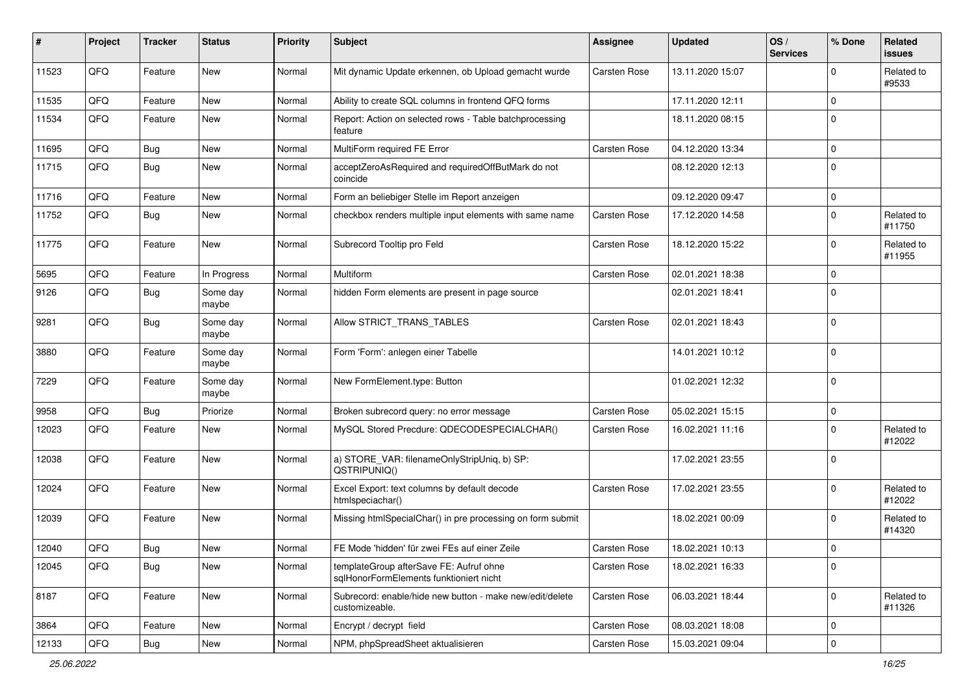| #     | Project        | <b>Tracker</b> | <b>Status</b>     | <b>Priority</b> | <b>Subject</b>                                                                     | <b>Assignee</b>     | <b>Updated</b>   | OS/<br><b>Services</b> | % Done       | Related<br>issues    |
|-------|----------------|----------------|-------------------|-----------------|------------------------------------------------------------------------------------|---------------------|------------------|------------------------|--------------|----------------------|
| 11523 | QFQ            | Feature        | New               | Normal          | Mit dynamic Update erkennen, ob Upload gemacht wurde                               | Carsten Rose        | 13.11.2020 15:07 |                        | 0            | Related to<br>#9533  |
| 11535 | QFQ            | Feature        | New               | Normal          | Ability to create SQL columns in frontend QFQ forms                                |                     | 17.11.2020 12:11 |                        | $\mathbf 0$  |                      |
| 11534 | QFQ            | Feature        | New               | Normal          | Report: Action on selected rows - Table batchprocessing<br>feature                 |                     | 18.11.2020 08:15 |                        | $\mathbf 0$  |                      |
| 11695 | QFQ            | Bug            | New               | Normal          | MultiForm required FE Error                                                        | Carsten Rose        | 04.12.2020 13:34 |                        | $\mathbf 0$  |                      |
| 11715 | QFQ            | <b>Bug</b>     | New               | Normal          | acceptZeroAsRequired and requiredOffButMark do not<br>coincide                     |                     | 08.12.2020 12:13 |                        | $\mathbf 0$  |                      |
| 11716 | QFQ            | Feature        | <b>New</b>        | Normal          | Form an beliebiger Stelle im Report anzeigen                                       |                     | 09.12.2020 09:47 |                        | $\mathbf 0$  |                      |
| 11752 | QFQ            | Bug            | New               | Normal          | checkbox renders multiple input elements with same name                            | Carsten Rose        | 17.12.2020 14:58 |                        | $\Omega$     | Related to<br>#11750 |
| 11775 | QFQ            | Feature        | New               | Normal          | Subrecord Tooltip pro Feld                                                         | Carsten Rose        | 18.12.2020 15:22 |                        | $\mathbf 0$  | Related to<br>#11955 |
| 5695  | QFQ            | Feature        | In Progress       | Normal          | Multiform                                                                          | Carsten Rose        | 02.01.2021 18:38 |                        | $\mathbf 0$  |                      |
| 9126  | QFQ            | Bug            | Some day<br>maybe | Normal          | hidden Form elements are present in page source                                    |                     | 02.01.2021 18:41 |                        | $\mathbf 0$  |                      |
| 9281  | QFQ            | <b>Bug</b>     | Some day<br>maybe | Normal          | Allow STRICT TRANS TABLES                                                          | Carsten Rose        | 02.01.2021 18:43 |                        | $\mathbf 0$  |                      |
| 3880  | QFQ            | Feature        | Some day<br>maybe | Normal          | Form 'Form': anlegen einer Tabelle                                                 |                     | 14.01.2021 10:12 |                        | $\mathbf 0$  |                      |
| 7229  | QFQ            | Feature        | Some day<br>maybe | Normal          | New FormElement.type: Button                                                       |                     | 01.02.2021 12:32 |                        | $\Omega$     |                      |
| 9958  | QFQ            | <b>Bug</b>     | Priorize          | Normal          | Broken subrecord query: no error message                                           | Carsten Rose        | 05.02.2021 15:15 |                        | $\mathbf 0$  |                      |
| 12023 | QFQ            | Feature        | New               | Normal          | MySQL Stored Precdure: QDECODESPECIALCHAR()                                        | Carsten Rose        | 16.02.2021 11:16 |                        | $\Omega$     | Related to<br>#12022 |
| 12038 | QFQ            | Feature        | New               | Normal          | a) STORE_VAR: filenameOnlyStripUniq, b) SP:<br>QSTRIPUNIQ()                        |                     | 17.02.2021 23:55 |                        | $\mathbf 0$  |                      |
| 12024 | QFQ            | Feature        | New               | Normal          | Excel Export: text columns by default decode<br>htmlspeciachar()                   | <b>Carsten Rose</b> | 17.02.2021 23:55 |                        | $\mathbf 0$  | Related to<br>#12022 |
| 12039 | QFQ            | Feature        | New               | Normal          | Missing htmlSpecialChar() in pre processing on form submit                         |                     | 18.02.2021 00:09 |                        | $\mathbf 0$  | Related to<br>#14320 |
| 12040 | $\mathsf{QFQ}$ | Bug            | New               | Normal          | FE Mode 'hidden' für zwei FEs auf einer Zeile                                      | Carsten Rose        | 18.02.2021 10:13 |                        | $\mathbf{0}$ |                      |
| 12045 | QFQ            | <b>Bug</b>     | New               | Normal          | templateGroup afterSave FE: Aufruf ohne<br>sqlHonorFormElements funktioniert nicht | Carsten Rose        | 18.02.2021 16:33 |                        | $\mathbf 0$  |                      |
| 8187  | QFQ            | Feature        | New               | Normal          | Subrecord: enable/hide new button - make new/edit/delete<br>customizeable.         | Carsten Rose        | 06.03.2021 18:44 |                        | $\mathbf 0$  | Related to<br>#11326 |
| 3864  | QFQ            | Feature        | New               | Normal          | Encrypt / decrypt field                                                            | Carsten Rose        | 08.03.2021 18:08 |                        | 0            |                      |
| 12133 | QFG            | Bug            | New               | Normal          | NPM, phpSpreadSheet aktualisieren                                                  | Carsten Rose        | 15.03.2021 09:04 |                        | $\mathsf{O}$ |                      |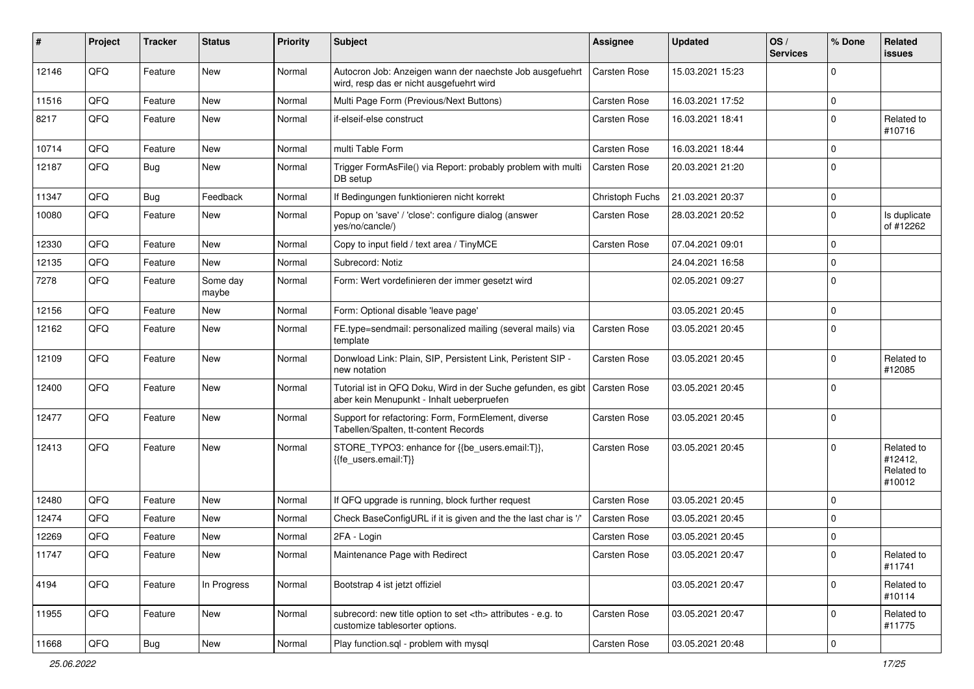| ∦     | Project | <b>Tracker</b> | <b>Status</b>     | <b>Priority</b> | <b>Subject</b>                                                                                             | <b>Assignee</b>                                        | <b>Updated</b>   | OS/<br><b>Services</b> | % Done      | Related<br>issues                             |                      |
|-------|---------|----------------|-------------------|-----------------|------------------------------------------------------------------------------------------------------------|--------------------------------------------------------|------------------|------------------------|-------------|-----------------------------------------------|----------------------|
| 12146 | QFQ     | Feature        | <b>New</b>        | Normal          | Autocron Job: Anzeigen wann der naechste Job ausgefuehrt<br>wird, resp das er nicht ausgefuehrt wird       | Carsten Rose                                           | 15.03.2021 15:23 |                        | $\Omega$    |                                               |                      |
| 11516 | QFQ     | Feature        | New               | Normal          | Multi Page Form (Previous/Next Buttons)                                                                    | Carsten Rose                                           | 16.03.2021 17:52 |                        | $\mathbf 0$ |                                               |                      |
| 8217  | QFQ     | Feature        | New               | Normal          | if-elseif-else construct                                                                                   | Carsten Rose                                           | 16.03.2021 18:41 |                        | $\Omega$    | Related to<br>#10716                          |                      |
| 10714 | QFQ     | Feature        | <b>New</b>        | Normal          | multi Table Form                                                                                           | Carsten Rose                                           | 16.03.2021 18:44 |                        | $\Omega$    |                                               |                      |
| 12187 | QFQ     | Bug            | New               | Normal          | Trigger FormAsFile() via Report: probably problem with multi<br>DB setup                                   | Carsten Rose                                           | 20.03.2021 21:20 |                        | $\mathbf 0$ |                                               |                      |
| 11347 | QFQ     | Bug            | Feedback          | Normal          | If Bedingungen funktionieren nicht korrekt                                                                 | Christoph Fuchs                                        | 21.03.2021 20:37 |                        | $\mathbf 0$ |                                               |                      |
| 10080 | QFQ     | Feature        | New               | Normal          | Popup on 'save' / 'close': configure dialog (answer<br>yes/no/cancle/)                                     | Carsten Rose                                           | 28.03.2021 20:52 |                        | $\Omega$    | Is duplicate<br>of #12262                     |                      |
| 12330 | QFQ     | Feature        | New               | Normal          | Copy to input field / text area / TinyMCE                                                                  | Carsten Rose                                           | 07.04.2021 09:01 |                        | $\mathbf 0$ |                                               |                      |
| 12135 | QFQ     | Feature        | <b>New</b>        | Normal          | Subrecord: Notiz                                                                                           |                                                        | 24.04.2021 16:58 |                        | $\Omega$    |                                               |                      |
| 7278  | QFQ     | Feature        | Some day<br>maybe | Normal          | Form: Wert vordefinieren der immer gesetzt wird                                                            |                                                        | 02.05.2021 09:27 |                        | 0 I         |                                               |                      |
| 12156 | QFQ     | Feature        | New               | Normal          | Form: Optional disable 'leave page'                                                                        |                                                        | 03.05.2021 20:45 |                        | $\mathbf 0$ |                                               |                      |
| 12162 | QFQ     | Feature        | New               | Normal          | FE.type=sendmail: personalized mailing (several mails) via<br>template                                     | Carsten Rose                                           | 03.05.2021 20:45 |                        | $\Omega$    |                                               |                      |
| 12109 | QFQ     | Feature        | New               | Normal          | Donwload Link: Plain, SIP, Persistent Link, Peristent SIP -<br>new notation                                | Carsten Rose                                           | 03.05.2021 20:45 |                        | $\Omega$    | Related to<br>#12085                          |                      |
| 12400 | QFQ     | Feature        | New               | Normal          | Tutorial ist in QFQ Doku, Wird in der Suche gefunden, es gibt<br>aber kein Menupunkt - Inhalt ueberpruefen | <b>Carsten Rose</b>                                    | 03.05.2021 20:45 |                        | $\Omega$    |                                               |                      |
| 12477 | QFQ     | Feature        | <b>New</b>        | Normal          | Support for refactoring: Form, FormElement, diverse<br>Tabellen/Spalten, tt-content Records                | Carsten Rose                                           | 03.05.2021 20:45 |                        | $\Omega$    |                                               |                      |
| 12413 | QFQ     | Feature        | New               | Normal          | STORE_TYPO3: enhance for {{be_users.email:T}},<br>{{fe users.email:T}}                                     | Carsten Rose                                           | 03.05.2021 20:45 |                        | $\Omega$    | Related to<br>#12412,<br>Related to<br>#10012 |                      |
| 12480 | QFQ     | Feature        | New               | Normal          | If QFQ upgrade is running, block further request                                                           | Carsten Rose                                           | 03.05.2021 20:45 |                        | $\mathbf 0$ |                                               |                      |
| 12474 | QFQ     | Feature        | New               | Normal          | Check BaseConfigURL if it is given and the the last char is '/                                             | Carsten Rose                                           | 03.05.2021 20:45 |                        | $\Omega$    |                                               |                      |
| 12269 | QFQ     | Feature        | New               | Normal          | 2FA - Login                                                                                                | Carsten Rose                                           | 03.05.2021 20:45 |                        | $\Omega$    |                                               |                      |
| 11747 | QFQ     | Feature        | New               | Normal          | Maintenance Page with Redirect                                                                             | Carsten Rose                                           | 03.05.2021 20:47 |                        | 0           | Related to<br>#11741                          |                      |
| 4194  | QFQ     | Feature        | In Progress       | Normal          | Bootstrap 4 ist jetzt offiziel                                                                             |                                                        | 03.05.2021 20:47 |                        | $\mathbf 0$ | Related to<br>#10114                          |                      |
| 11955 | QFQ     | Feature        | New               | Normal          | subrecord: new title option to set <th> attributes - e.g. to<br/>customize tablesorter options.</th>       | attributes - e.g. to<br>customize tablesorter options. | Carsten Rose     | 03.05.2021 20:47       |             | 0                                             | Related to<br>#11775 |
| 11668 | QFQ     | <b>Bug</b>     | New               | Normal          | Play function.sql - problem with mysql                                                                     | Carsten Rose                                           | 03.05.2021 20:48 |                        | 0           |                                               |                      |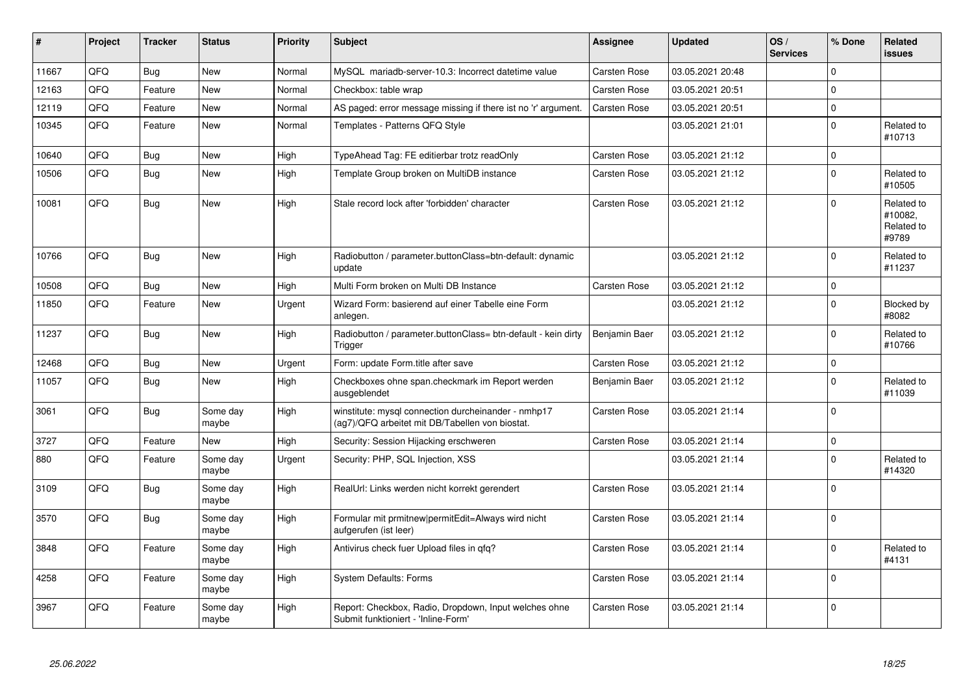| #     | Project | <b>Tracker</b> | <b>Status</b>     | <b>Priority</b> | <b>Subject</b>                                                                                         | Assignee            | <b>Updated</b>   | OS/<br><b>Services</b> | % Done   | Related<br><b>issues</b>                     |
|-------|---------|----------------|-------------------|-----------------|--------------------------------------------------------------------------------------------------------|---------------------|------------------|------------------------|----------|----------------------------------------------|
| 11667 | QFQ     | Bug            | New               | Normal          | MySQL mariadb-server-10.3: Incorrect datetime value                                                    | <b>Carsten Rose</b> | 03.05.2021 20:48 |                        | $\Omega$ |                                              |
| 12163 | QFQ     | Feature        | <b>New</b>        | Normal          | Checkbox: table wrap                                                                                   | Carsten Rose        | 03.05.2021 20:51 |                        | $\Omega$ |                                              |
| 12119 | QFQ     | Feature        | New               | Normal          | AS paged: error message missing if there ist no 'r' argument.                                          | <b>Carsten Rose</b> | 03.05.2021 20:51 |                        | 0        |                                              |
| 10345 | QFQ     | Feature        | <b>New</b>        | Normal          | Templates - Patterns QFQ Style                                                                         |                     | 03.05.2021 21:01 |                        | $\Omega$ | Related to<br>#10713                         |
| 10640 | QFQ     | Bug            | New               | High            | TypeAhead Tag: FE editierbar trotz readOnly                                                            | <b>Carsten Rose</b> | 03.05.2021 21:12 |                        | $\Omega$ |                                              |
| 10506 | QFQ     | Bug            | New               | High            | Template Group broken on MultiDB instance                                                              | Carsten Rose        | 03.05.2021 21:12 |                        | $\Omega$ | Related to<br>#10505                         |
| 10081 | QFQ     | Bug            | New               | High            | Stale record lock after 'forbidden' character                                                          | Carsten Rose        | 03.05.2021 21:12 |                        | $\Omega$ | Related to<br>#10082,<br>Related to<br>#9789 |
| 10766 | QFQ     | <b>Bug</b>     | <b>New</b>        | High            | Radiobutton / parameter.buttonClass=btn-default: dynamic<br>update                                     |                     | 03.05.2021 21:12 |                        | $\Omega$ | Related to<br>#11237                         |
| 10508 | QFQ     | <b>Bug</b>     | <b>New</b>        | High            | Multi Form broken on Multi DB Instance                                                                 | Carsten Rose        | 03.05.2021 21:12 |                        | 0        |                                              |
| 11850 | QFQ     | Feature        | <b>New</b>        | Urgent          | Wizard Form: basierend auf einer Tabelle eine Form<br>anlegen.                                         |                     | 03.05.2021 21:12 |                        | $\Omega$ | Blocked by<br>#8082                          |
| 11237 | QFQ     | Bug            | <b>New</b>        | High            | Radiobutton / parameter.buttonClass= btn-default - kein dirty<br>Trigger                               | Benjamin Baer       | 03.05.2021 21:12 |                        | $\Omega$ | Related to<br>#10766                         |
| 12468 | QFQ     | Bug            | <b>New</b>        | Urgent          | Form: update Form.title after save                                                                     | Carsten Rose        | 03.05.2021 21:12 |                        | $\Omega$ |                                              |
| 11057 | QFQ     | Bug            | <b>New</b>        | High            | Checkboxes ohne span.checkmark im Report werden<br>ausgeblendet                                        | Benjamin Baer       | 03.05.2021 21:12 |                        | $\Omega$ | Related to<br>#11039                         |
| 3061  | QFQ     | <b>Bug</b>     | Some day<br>maybe | High            | winstitute: mysql connection durcheinander - nmhp17<br>(ag7)/QFQ arbeitet mit DB/Tabellen von biostat. | Carsten Rose        | 03.05.2021 21:14 |                        | $\Omega$ |                                              |
| 3727  | QFQ     | Feature        | <b>New</b>        | High            | Security: Session Hijacking erschweren                                                                 | Carsten Rose        | 03.05.2021 21:14 |                        | $\Omega$ |                                              |
| 880   | QFQ     | Feature        | Some day<br>maybe | Urgent          | Security: PHP, SQL Injection, XSS                                                                      |                     | 03.05.2021 21:14 |                        | $\Omega$ | Related to<br>#14320                         |
| 3109  | QFQ     | <b>Bug</b>     | Some dav<br>maybe | High            | RealUrl: Links werden nicht korrekt gerendert                                                          | Carsten Rose        | 03.05.2021 21:14 |                        | $\Omega$ |                                              |
| 3570  | QFQ     | Bug            | Some day<br>maybe | High            | Formular mit prmitnew permitEdit=Always wird nicht<br>aufgerufen (ist leer)                            | Carsten Rose        | 03.05.2021 21:14 |                        | $\Omega$ |                                              |
| 3848  | QFQ     | Feature        | Some day<br>maybe | High            | Antivirus check fuer Upload files in qfq?                                                              | Carsten Rose        | 03.05.2021 21:14 |                        | $\Omega$ | Related to<br>#4131                          |
| 4258  | QFQ     | Feature        | Some day<br>maybe | High            | <b>System Defaults: Forms</b>                                                                          | Carsten Rose        | 03.05.2021 21:14 |                        | $\Omega$ |                                              |
| 3967  | QFQ     | Feature        | Some day<br>maybe | High            | Report: Checkbox, Radio, Dropdown, Input welches ohne<br>Submit funktioniert - 'Inline-Form'           | Carsten Rose        | 03.05.2021 21:14 |                        | $\Omega$ |                                              |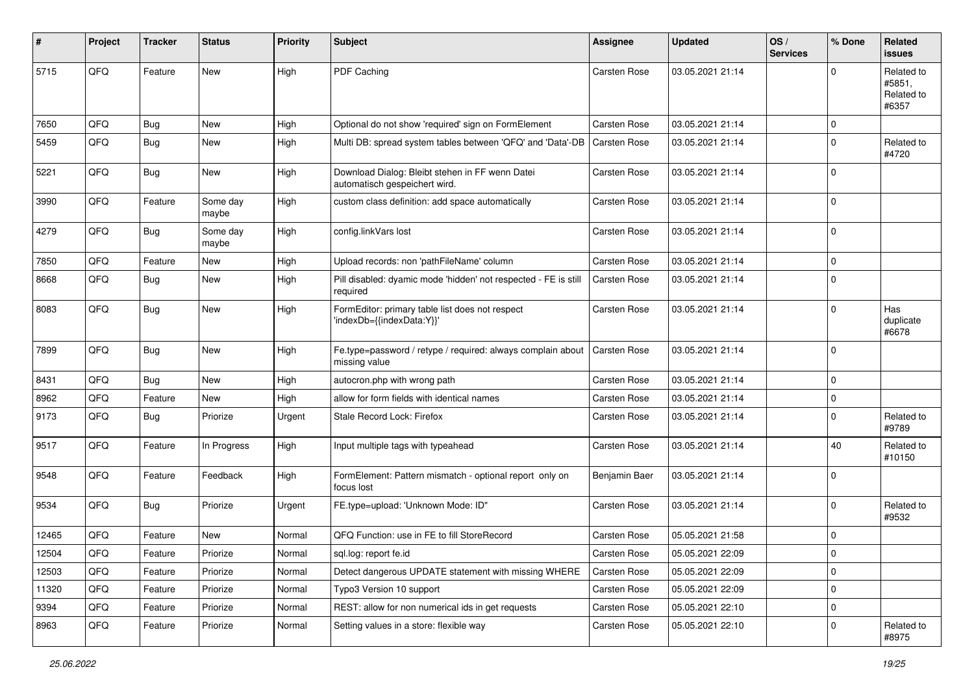| ∦     | Project | <b>Tracker</b> | <b>Status</b>     | <b>Priority</b> | <b>Subject</b>                                                                   | <b>Assignee</b>     | <b>Updated</b>   | OS/<br><b>Services</b> | % Done      | Related<br>issues                           |
|-------|---------|----------------|-------------------|-----------------|----------------------------------------------------------------------------------|---------------------|------------------|------------------------|-------------|---------------------------------------------|
| 5715  | QFQ     | Feature        | New               | High            | PDF Caching                                                                      | Carsten Rose        | 03.05.2021 21:14 |                        | $\Omega$    | Related to<br>#5851,<br>Related to<br>#6357 |
| 7650  | QFQ     | Bug            | <b>New</b>        | High            | Optional do not show 'required' sign on FormElement                              | Carsten Rose        | 03.05.2021 21:14 |                        | $\Omega$    |                                             |
| 5459  | QFQ     | <b>Bug</b>     | New               | High            | Multi DB: spread system tables between 'QFQ' and 'Data'-DB                       | <b>Carsten Rose</b> | 03.05.2021 21:14 |                        | $\Omega$    | Related to<br>#4720                         |
| 5221  | QFQ     | <b>Bug</b>     | New               | High            | Download Dialog: Bleibt stehen in FF wenn Datei<br>automatisch gespeichert wird. | Carsten Rose        | 03.05.2021 21:14 |                        | $\Omega$    |                                             |
| 3990  | QFQ     | Feature        | Some day<br>maybe | High            | custom class definition: add space automatically                                 | Carsten Rose        | 03.05.2021 21:14 |                        | $\Omega$    |                                             |
| 4279  | QFQ     | <b>Bug</b>     | Some day<br>maybe | High            | config.linkVars lost                                                             | Carsten Rose        | 03.05.2021 21:14 |                        | $\Omega$    |                                             |
| 7850  | QFQ     | Feature        | New               | High            | Upload records: non 'pathFileName' column                                        | Carsten Rose        | 03.05.2021 21:14 |                        | $\Omega$    |                                             |
| 8668  | QFQ     | Bug            | New               | High            | Pill disabled: dyamic mode 'hidden' not respected - FE is still<br>required      | Carsten Rose        | 03.05.2021 21:14 |                        | $\mathbf 0$ |                                             |
| 8083  | QFQ     | <b>Bug</b>     | New               | High            | FormEditor: primary table list does not respect<br>'indexDb={{indexData:Y}}'     | <b>Carsten Rose</b> | 03.05.2021 21:14 |                        | $\Omega$    | Has<br>duplicate<br>#6678                   |
| 7899  | QFQ     | Bug            | <b>New</b>        | High            | Fe.type=password / retype / required: always complain about<br>missing value     | <b>Carsten Rose</b> | 03.05.2021 21:14 |                        | 0           |                                             |
| 8431  | QFQ     | Bug            | New               | High            | autocron.php with wrong path                                                     | Carsten Rose        | 03.05.2021 21:14 |                        | $\Omega$    |                                             |
| 8962  | QFQ     | Feature        | New               | High            | allow for form fields with identical names                                       | Carsten Rose        | 03.05.2021 21:14 |                        | $\mathbf 0$ |                                             |
| 9173  | QFQ     | Bug            | Priorize          | Urgent          | Stale Record Lock: Firefox                                                       | Carsten Rose        | 03.05.2021 21:14 |                        | $\Omega$    | Related to<br>#9789                         |
| 9517  | QFQ     | Feature        | In Progress       | High            | Input multiple tags with typeahead                                               | Carsten Rose        | 03.05.2021 21:14 |                        | 40          | Related to<br>#10150                        |
| 9548  | QFQ     | Feature        | Feedback          | High            | FormElement: Pattern mismatch - optional report only on<br>focus lost            | Benjamin Baer       | 03.05.2021 21:14 |                        | $\Omega$    |                                             |
| 9534  | QFQ     | <b>Bug</b>     | Priorize          | Urgent          | FE.type=upload: 'Unknown Mode: ID"                                               | Carsten Rose        | 03.05.2021 21:14 |                        | $\Omega$    | Related to<br>#9532                         |
| 12465 | QFQ     | Feature        | New               | Normal          | QFQ Function: use in FE to fill StoreRecord                                      | Carsten Rose        | 05.05.2021 21:58 |                        | $\Omega$    |                                             |
| 12504 | QFQ     | Feature        | Priorize          | Normal          | sql.log: report fe.id                                                            | Carsten Rose        | 05.05.2021 22:09 |                        | O           |                                             |
| 12503 | QFQ     | Feature        | Priorize          | Normal          | Detect dangerous UPDATE statement with missing WHERE                             | Carsten Rose        | 05.05.2021 22:09 |                        | 0           |                                             |
| 11320 | QFQ     | Feature        | Priorize          | Normal          | Typo3 Version 10 support                                                         | Carsten Rose        | 05.05.2021 22:09 |                        | 0           |                                             |
| 9394  | QFQ     | Feature        | Priorize          | Normal          | REST: allow for non numerical ids in get requests                                | Carsten Rose        | 05.05.2021 22:10 |                        | 0           |                                             |
| 8963  | QFQ     | Feature        | Priorize          | Normal          | Setting values in a store: flexible way                                          | Carsten Rose        | 05.05.2021 22:10 |                        | 0           | Related to<br>#8975                         |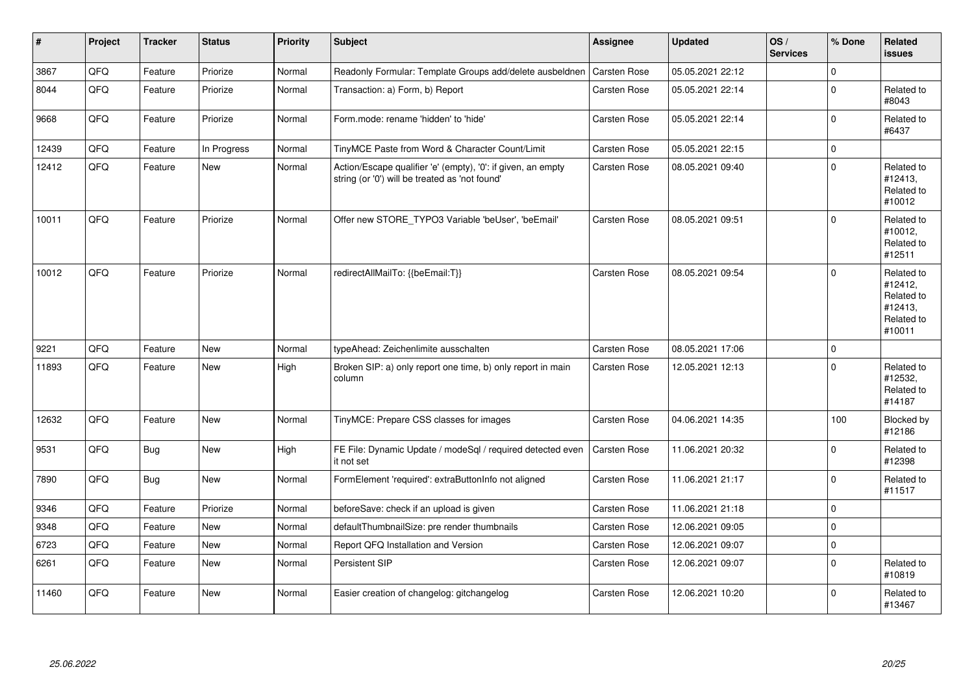| $\vert$ # | Project | <b>Tracker</b> | <b>Status</b> | <b>Priority</b> | Subject                                                                                                        | <b>Assignee</b>     | <b>Updated</b>   | OS/<br><b>Services</b> | % Done      | Related<br><b>issues</b>                                               |
|-----------|---------|----------------|---------------|-----------------|----------------------------------------------------------------------------------------------------------------|---------------------|------------------|------------------------|-------------|------------------------------------------------------------------------|
| 3867      | QFQ     | Feature        | Priorize      | Normal          | Readonly Formular: Template Groups add/delete ausbeldnen                                                       | <b>Carsten Rose</b> | 05.05.2021 22:12 |                        | $\Omega$    |                                                                        |
| 8044      | QFQ     | Feature        | Priorize      | Normal          | Transaction: a) Form, b) Report                                                                                | Carsten Rose        | 05.05.2021 22:14 |                        | $\mathbf 0$ | Related to<br>#8043                                                    |
| 9668      | QFQ     | Feature        | Priorize      | Normal          | Form.mode: rename 'hidden' to 'hide'                                                                           | Carsten Rose        | 05.05.2021 22:14 |                        | $\Omega$    | Related to<br>#6437                                                    |
| 12439     | QFQ     | Feature        | In Progress   | Normal          | TinyMCE Paste from Word & Character Count/Limit                                                                | <b>Carsten Rose</b> | 05.05.2021 22:15 |                        | $\Omega$    |                                                                        |
| 12412     | QFQ     | Feature        | New           | Normal          | Action/Escape qualifier 'e' (empty), '0': if given, an empty<br>string (or '0') will be treated as 'not found' | <b>Carsten Rose</b> | 08.05.2021 09:40 |                        | $\mathbf 0$ | Related to<br>#12413,<br>Related to<br>#10012                          |
| 10011     | QFQ     | Feature        | Priorize      | Normal          | Offer new STORE TYPO3 Variable 'beUser', 'beEmail'                                                             | <b>Carsten Rose</b> | 08.05.2021 09:51 |                        | $\Omega$    | Related to<br>#10012,<br>Related to<br>#12511                          |
| 10012     | QFQ     | Feature        | Priorize      | Normal          | redirectAllMailTo: {{beEmail:T}}                                                                               | Carsten Rose        | 08.05.2021 09:54 |                        | $\Omega$    | Related to<br>#12412,<br>Related to<br>#12413,<br>Related to<br>#10011 |
| 9221      | QFQ     | Feature        | <b>New</b>    | Normal          | typeAhead: Zeichenlimite ausschalten                                                                           | <b>Carsten Rose</b> | 08.05.2021 17:06 |                        | $\mathbf 0$ |                                                                        |
| 11893     | QFQ     | Feature        | New           | High            | Broken SIP: a) only report one time, b) only report in main<br>column                                          | <b>Carsten Rose</b> | 12.05.2021 12:13 |                        | $\Omega$    | Related to<br>#12532,<br>Related to<br>#14187                          |
| 12632     | QFQ     | Feature        | <b>New</b>    | Normal          | TinyMCE: Prepare CSS classes for images                                                                        | <b>Carsten Rose</b> | 04.06.2021 14:35 |                        | 100         | Blocked by<br>#12186                                                   |
| 9531      | QFQ     | Bug            | New           | High            | FE File: Dynamic Update / modeSql / required detected even<br>it not set                                       | <b>Carsten Rose</b> | 11.06.2021 20:32 |                        | $\mathbf 0$ | Related to<br>#12398                                                   |
| 7890      | QFQ     | <b>Bug</b>     | <b>New</b>    | Normal          | FormElement 'required': extraButtonInfo not aligned                                                            | <b>Carsten Rose</b> | 11.06.2021 21:17 |                        | $\Omega$    | Related to<br>#11517                                                   |
| 9346      | QFQ     | Feature        | Priorize      | Normal          | beforeSave: check if an upload is given                                                                        | Carsten Rose        | 11.06.2021 21:18 |                        | $\mathbf 0$ |                                                                        |
| 9348      | QFQ     | Feature        | <b>New</b>    | Normal          | defaultThumbnailSize: pre render thumbnails                                                                    | Carsten Rose        | 12.06.2021 09:05 |                        | $\Omega$    |                                                                        |
| 6723      | QFQ     | Feature        | New           | Normal          | Report QFQ Installation and Version                                                                            | Carsten Rose        | 12.06.2021 09:07 |                        | $\mathbf 0$ |                                                                        |
| 6261      | QFQ     | Feature        | New           | Normal          | Persistent SIP                                                                                                 | <b>Carsten Rose</b> | 12.06.2021 09:07 |                        | $\Omega$    | Related to<br>#10819                                                   |
| 11460     | QFQ     | Feature        | New           | Normal          | Easier creation of changelog: gitchangelog                                                                     | <b>Carsten Rose</b> | 12.06.2021 10:20 |                        | $\Omega$    | Related to<br>#13467                                                   |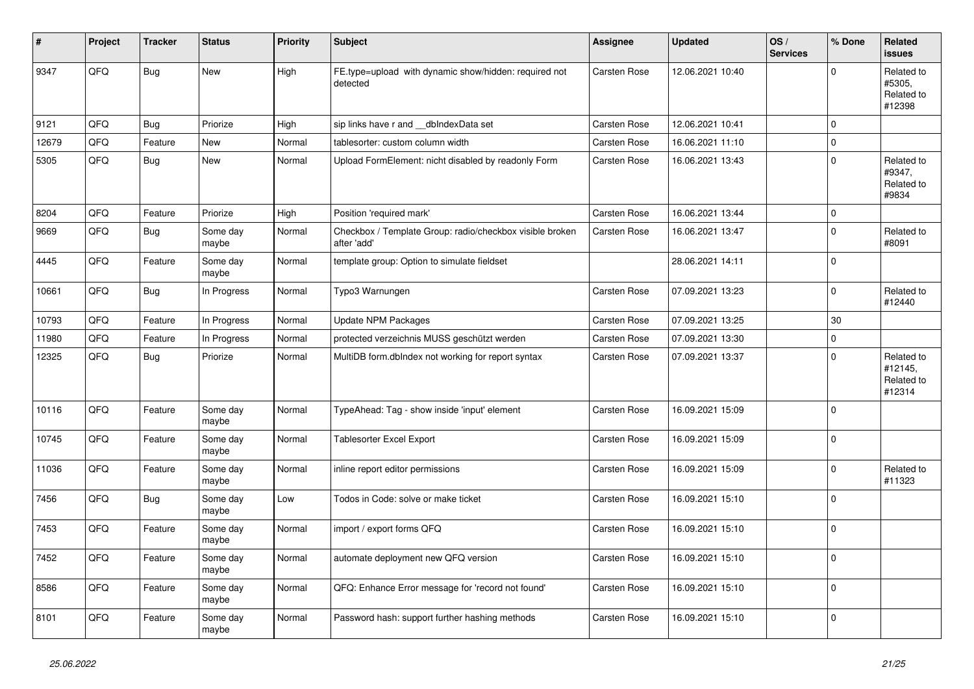| #     | Project | <b>Tracker</b> | <b>Status</b>     | <b>Priority</b> | <b>Subject</b>                                                          | Assignee            | <b>Updated</b>   | OS/<br><b>Services</b> | % Done      | Related<br>issues                             |
|-------|---------|----------------|-------------------|-----------------|-------------------------------------------------------------------------|---------------------|------------------|------------------------|-------------|-----------------------------------------------|
| 9347  | QFQ     | <b>Bug</b>     | New               | High            | FE.type=upload with dynamic show/hidden: required not<br>detected       | <b>Carsten Rose</b> | 12.06.2021 10:40 |                        | $\Omega$    | Related to<br>#5305,<br>Related to<br>#12398  |
| 9121  | QFQ     | Bug            | Priorize          | High            | sip links have r and __dbIndexData set                                  | Carsten Rose        | 12.06.2021 10:41 |                        | $\Omega$    |                                               |
| 12679 | QFQ     | Feature        | New               | Normal          | tablesorter: custom column width                                        | Carsten Rose        | 16.06.2021 11:10 |                        | $\Omega$    |                                               |
| 5305  | QFQ     | <b>Bug</b>     | New               | Normal          | Upload FormElement: nicht disabled by readonly Form                     | <b>Carsten Rose</b> | 16.06.2021 13:43 |                        | $\Omega$    | Related to<br>#9347,<br>Related to<br>#9834   |
| 8204  | QFQ     | Feature        | Priorize          | High            | Position 'required mark'                                                | <b>Carsten Rose</b> | 16.06.2021 13:44 |                        | $\mathbf 0$ |                                               |
| 9669  | QFQ     | <b>Bug</b>     | Some day<br>maybe | Normal          | Checkbox / Template Group: radio/checkbox visible broken<br>after 'add' | Carsten Rose        | 16.06.2021 13:47 |                        | $\Omega$    | Related to<br>#8091                           |
| 4445  | QFQ     | Feature        | Some day<br>maybe | Normal          | template group: Option to simulate fieldset                             |                     | 28.06.2021 14:11 |                        | l O         |                                               |
| 10661 | QFQ     | <b>Bug</b>     | In Progress       | Normal          | Typo3 Warnungen                                                         | Carsten Rose        | 07.09.2021 13:23 |                        | $\Omega$    | Related to<br>#12440                          |
| 10793 | QFQ     | Feature        | In Progress       | Normal          | <b>Update NPM Packages</b>                                              | Carsten Rose        | 07.09.2021 13:25 |                        | 30          |                                               |
| 11980 | QFQ     | Feature        | In Progress       | Normal          | protected verzeichnis MUSS geschützt werden                             | Carsten Rose        | 07.09.2021 13:30 |                        | $\mathbf 0$ |                                               |
| 12325 | QFQ     | <b>Bug</b>     | Priorize          | Normal          | MultiDB form.dblndex not working for report syntax                      | Carsten Rose        | 07.09.2021 13:37 |                        | $\Omega$    | Related to<br>#12145,<br>Related to<br>#12314 |
| 10116 | QFQ     | Feature        | Some day<br>maybe | Normal          | TypeAhead: Tag - show inside 'input' element                            | Carsten Rose        | 16.09.2021 15:09 |                        | $\Omega$    |                                               |
| 10745 | QFQ     | Feature        | Some day<br>maybe | Normal          | Tablesorter Excel Export                                                | Carsten Rose        | 16.09.2021 15:09 |                        | $\Omega$    |                                               |
| 11036 | QFQ     | Feature        | Some day<br>maybe | Normal          | inline report editor permissions                                        | Carsten Rose        | 16.09.2021 15:09 |                        | $\Omega$    | Related to<br>#11323                          |
| 7456  | QFQ     | Bug            | Some day<br>maybe | Low             | Todos in Code: solve or make ticket                                     | Carsten Rose        | 16.09.2021 15:10 |                        | $\mathbf 0$ |                                               |
| 7453  | QFQ     | Feature        | Some day<br>maybe | Normal          | import / export forms QFQ                                               | Carsten Rose        | 16.09.2021 15:10 |                        | $\Omega$    |                                               |
| 7452  | QFQ     | Feature        | Some day<br>maybe | Normal          | automate deployment new QFQ version                                     | Carsten Rose        | 16.09.2021 15:10 |                        | $\Omega$    |                                               |
| 8586  | QFQ     | Feature        | Some day<br>maybe | Normal          | QFQ: Enhance Error message for 'record not found'                       | Carsten Rose        | 16.09.2021 15:10 |                        | $\mathbf 0$ |                                               |
| 8101  | QFQ     | Feature        | Some day<br>maybe | Normal          | Password hash: support further hashing methods                          | Carsten Rose        | 16.09.2021 15:10 |                        | $\Omega$    |                                               |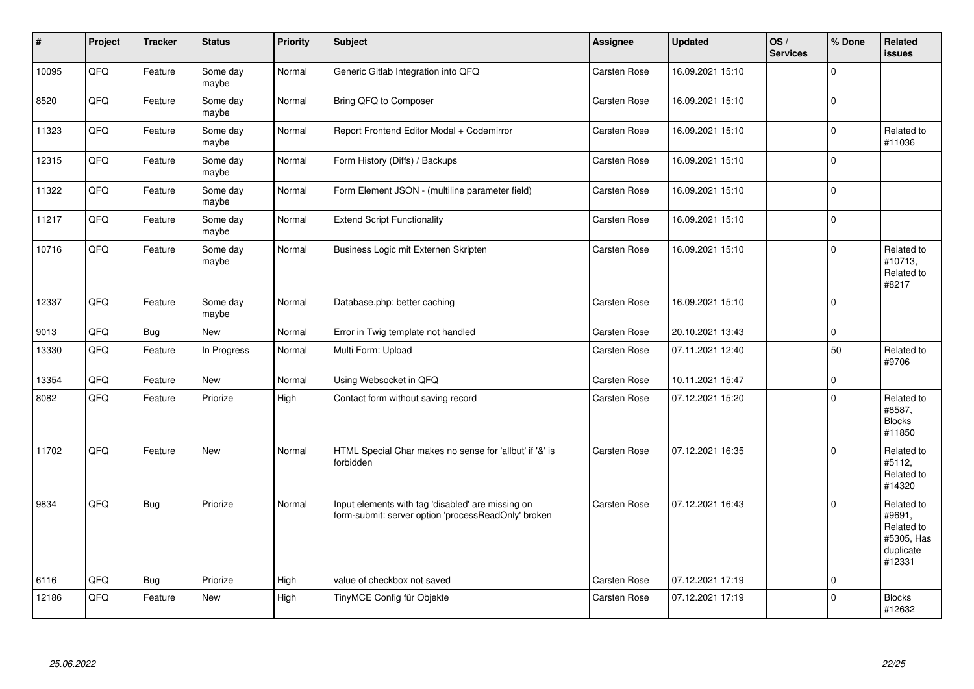| $\vert$ # | Project | <b>Tracker</b> | <b>Status</b>     | <b>Priority</b> | <b>Subject</b>                                                                                           | <b>Assignee</b>     | <b>Updated</b>   | OS/<br><b>Services</b> | % Done         | Related<br><b>issues</b>                                                |
|-----------|---------|----------------|-------------------|-----------------|----------------------------------------------------------------------------------------------------------|---------------------|------------------|------------------------|----------------|-------------------------------------------------------------------------|
| 10095     | QFQ     | Feature        | Some day<br>maybe | Normal          | Generic Gitlab Integration into QFQ                                                                      | Carsten Rose        | 16.09.2021 15:10 |                        | $\Omega$       |                                                                         |
| 8520      | QFQ     | Feature        | Some day<br>maybe | Normal          | Bring QFQ to Composer                                                                                    | Carsten Rose        | 16.09.2021 15:10 |                        | 0              |                                                                         |
| 11323     | QFQ     | Feature        | Some day<br>maybe | Normal          | Report Frontend Editor Modal + Codemirror                                                                | <b>Carsten Rose</b> | 16.09.2021 15:10 |                        | $\Omega$       | Related to<br>#11036                                                    |
| 12315     | QFG     | Feature        | Some day<br>maybe | Normal          | Form History (Diffs) / Backups                                                                           | Carsten Rose        | 16.09.2021 15:10 |                        | 0              |                                                                         |
| 11322     | QFQ     | Feature        | Some day<br>maybe | Normal          | Form Element JSON - (multiline parameter field)                                                          | <b>Carsten Rose</b> | 16.09.2021 15:10 |                        | $\Omega$       |                                                                         |
| 11217     | QFQ     | Feature        | Some day<br>maybe | Normal          | <b>Extend Script Functionality</b>                                                                       | Carsten Rose        | 16.09.2021 15:10 |                        | $\overline{0}$ |                                                                         |
| 10716     | QFQ     | Feature        | Some day<br>maybe | Normal          | Business Logic mit Externen Skripten                                                                     | Carsten Rose        | 16.09.2021 15:10 |                        | $\Omega$       | Related to<br>#10713,<br>Related to<br>#8217                            |
| 12337     | QFQ     | Feature        | Some day<br>maybe | Normal          | Database.php: better caching                                                                             | <b>Carsten Rose</b> | 16.09.2021 15:10 |                        | 0              |                                                                         |
| 9013      | QFQ     | <b>Bug</b>     | New               | Normal          | Error in Twig template not handled                                                                       | Carsten Rose        | 20.10.2021 13:43 |                        | $\mathbf 0$    |                                                                         |
| 13330     | QFQ     | Feature        | In Progress       | Normal          | Multi Form: Upload                                                                                       | Carsten Rose        | 07.11.2021 12:40 |                        | 50             | Related to<br>#9706                                                     |
| 13354     | QFQ     | Feature        | New               | Normal          | Using Websocket in QFQ                                                                                   | Carsten Rose        | 10.11.2021 15:47 |                        | $\mathbf 0$    |                                                                         |
| 8082      | QFQ     | Feature        | Priorize          | High            | Contact form without saving record                                                                       | <b>Carsten Rose</b> | 07.12.2021 15:20 |                        | $\Omega$       | Related to<br>#8587,<br><b>Blocks</b><br>#11850                         |
| 11702     | QFQ     | Feature        | <b>New</b>        | Normal          | HTML Special Char makes no sense for 'allbut' if '&' is<br>forbidden                                     | Carsten Rose        | 07.12.2021 16:35 |                        | 0 I            | Related to<br>#5112,<br>Related to<br>#14320                            |
| 9834      | QFQ     | <b>Bug</b>     | Priorize          | Normal          | Input elements with tag 'disabled' are missing on<br>form-submit: server option 'processReadOnly' broken | Carsten Rose        | 07.12.2021 16:43 |                        | $\Omega$       | Related to<br>#9691,<br>Related to<br>#5305, Has<br>duplicate<br>#12331 |
| 6116      | QFQ     | Bug            | Priorize          | High            | value of checkbox not saved                                                                              | Carsten Rose        | 07.12.2021 17:19 |                        | $\Omega$       |                                                                         |
| 12186     | QFQ     | Feature        | New               | High            | TinyMCE Config für Objekte                                                                               | Carsten Rose        | 07.12.2021 17:19 |                        | $\Omega$       | <b>Blocks</b><br>#12632                                                 |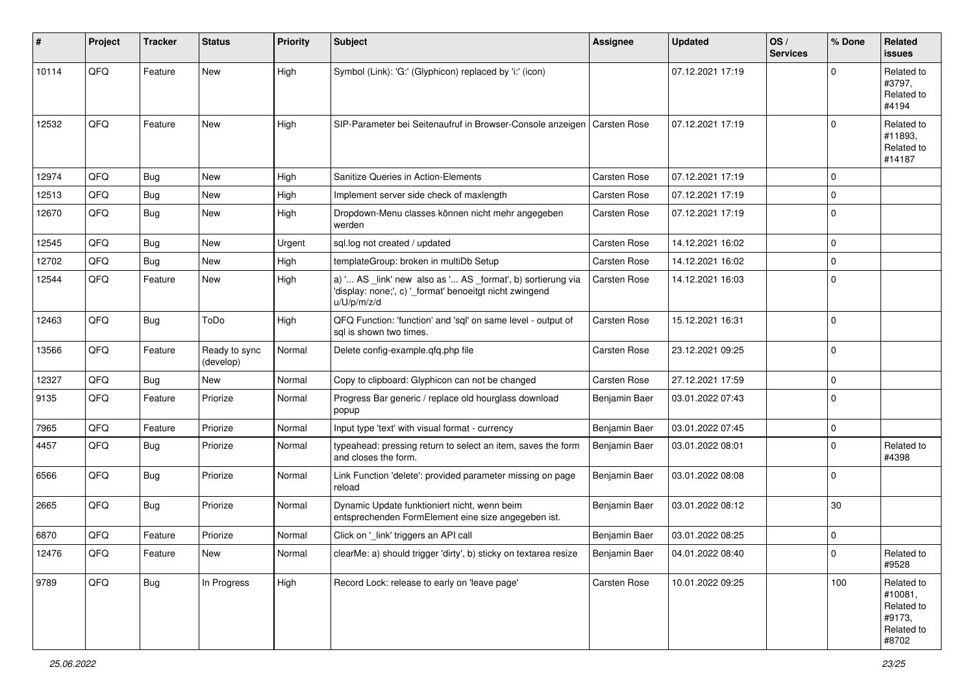| #     | Project | Tracker    | <b>Status</b>              | <b>Priority</b> | <b>Subject</b>                                                                                                                        | <b>Assignee</b>     | <b>Updated</b>   | OS/<br><b>Services</b> | % Done      | Related<br>issues                                                    |
|-------|---------|------------|----------------------------|-----------------|---------------------------------------------------------------------------------------------------------------------------------------|---------------------|------------------|------------------------|-------------|----------------------------------------------------------------------|
| 10114 | QFQ     | Feature    | <b>New</b>                 | High            | Symbol (Link): 'G:' (Glyphicon) replaced by 'i:' (icon)                                                                               |                     | 07.12.2021 17:19 |                        | 0           | Related to<br>#3797,<br>Related to<br>#4194                          |
| 12532 | QFQ     | Feature    | <b>New</b>                 | High            | SIP-Parameter bei Seitenaufruf in Browser-Console anzeigen                                                                            | <b>Carsten Rose</b> | 07.12.2021 17:19 |                        | $\Omega$    | Related to<br>#11893,<br>Related to<br>#14187                        |
| 12974 | QFQ     | <b>Bug</b> | New                        | High            | Sanitize Queries in Action-Elements                                                                                                   | Carsten Rose        | 07.12.2021 17:19 |                        | $\mathbf 0$ |                                                                      |
| 12513 | QFQ     | Bug        | <b>New</b>                 | High            | Implement server side check of maxlength                                                                                              | <b>Carsten Rose</b> | 07.12.2021 17:19 |                        | $\mathbf 0$ |                                                                      |
| 12670 | QFQ     | <b>Bug</b> | New                        | High            | Dropdown-Menu classes können nicht mehr angegeben<br>werden                                                                           | Carsten Rose        | 07.12.2021 17:19 |                        | $\Omega$    |                                                                      |
| 12545 | QFQ     | <b>Bug</b> | <b>New</b>                 | Urgent          | sql.log not created / updated                                                                                                         | Carsten Rose        | 14.12.2021 16:02 |                        | $\mathbf 0$ |                                                                      |
| 12702 | QFQ     | <b>Bug</b> | New                        | High            | templateGroup: broken in multiDb Setup                                                                                                | Carsten Rose        | 14.12.2021 16:02 |                        | $\mathbf 0$ |                                                                      |
| 12544 | QFQ     | Feature    | New                        | High            | a) ' AS _link' new also as ' AS _format', b) sortierung via<br>'display: none;', c) '_format' benoeitgt nicht zwingend<br>u/U/p/m/z/d | Carsten Rose        | 14.12.2021 16:03 |                        | $\Omega$    |                                                                      |
| 12463 | QFQ     | <b>Bug</b> | ToDo                       | High            | QFQ Function: 'function' and 'sql' on same level - output of<br>sal is shown two times.                                               | Carsten Rose        | 15.12.2021 16:31 |                        | $\Omega$    |                                                                      |
| 13566 | QFQ     | Feature    | Ready to sync<br>(develop) | Normal          | Delete config-example.qfq.php file                                                                                                    | <b>Carsten Rose</b> | 23.12.2021 09:25 |                        | $\mathbf 0$ |                                                                      |
| 12327 | QFQ     | <b>Bug</b> | New                        | Normal          | Copy to clipboard: Glyphicon can not be changed                                                                                       | <b>Carsten Rose</b> | 27.12.2021 17:59 |                        | $\mathbf 0$ |                                                                      |
| 9135  | QFQ     | Feature    | Priorize                   | Normal          | Progress Bar generic / replace old hourglass download<br>popup                                                                        | Benjamin Baer       | 03.01.2022 07:43 |                        | $\Omega$    |                                                                      |
| 7965  | QFQ     | Feature    | Priorize                   | Normal          | Input type 'text' with visual format - currency                                                                                       | Benjamin Baer       | 03.01.2022 07:45 |                        | $\mathbf 0$ |                                                                      |
| 4457  | QFQ     | <b>Bug</b> | Priorize                   | Normal          | typeahead: pressing return to select an item, saves the form<br>and closes the form.                                                  | Benjamin Baer       | 03.01.2022 08:01 |                        | $\Omega$    | Related to<br>#4398                                                  |
| 6566  | QFQ     | <b>Bug</b> | Priorize                   | Normal          | Link Function 'delete': provided parameter missing on page<br>reload                                                                  | Benjamin Baer       | 03.01.2022 08:08 |                        | $\mathbf 0$ |                                                                      |
| 2665  | QFQ     | <b>Bug</b> | Priorize                   | Normal          | Dynamic Update funktioniert nicht, wenn beim<br>entsprechenden FormElement eine size angegeben ist.                                   | Benjamin Baer       | 03.01.2022 08:12 |                        | 30          |                                                                      |
| 6870  | QFQ     | Feature    | Priorize                   | Normal          | Click on '_link' triggers an API call                                                                                                 | Benjamin Baer       | 03.01.2022 08:25 |                        | $\mathbf 0$ |                                                                      |
| 12476 | QFQ     | Feature    | New                        | Normal          | clearMe: a) should trigger 'dirty', b) sticky on textarea resize                                                                      | Benjamin Baer       | 04.01.2022 08:40 |                        | $\mathsf 0$ | Related to<br>#9528                                                  |
| 9789  | QFQ     | <b>Bug</b> | In Progress                | High            | Record Lock: release to early on 'leave page'                                                                                         | Carsten Rose        | 10.01.2022 09:25 |                        | 100         | Related to<br>#10081,<br>Related to<br>#9173,<br>Related to<br>#8702 |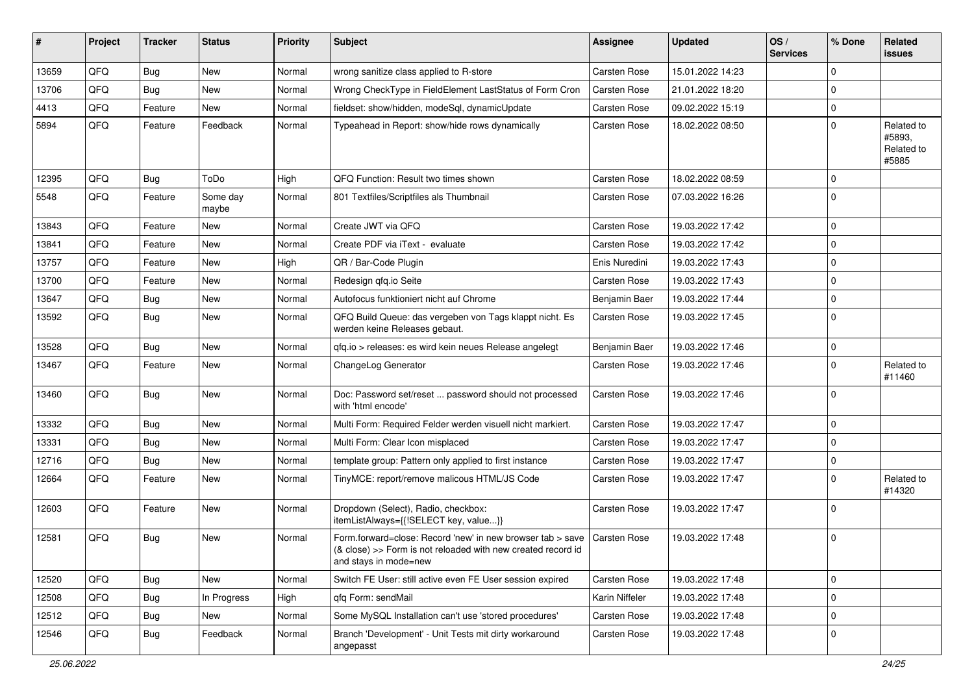| #     | Project | <b>Tracker</b> | <b>Status</b>     | <b>Priority</b> | Subject                                                                                                                                                            | <b>Assignee</b>     | <b>Updated</b>   | OS/<br><b>Services</b> | % Done      | Related<br>issues                           |
|-------|---------|----------------|-------------------|-----------------|--------------------------------------------------------------------------------------------------------------------------------------------------------------------|---------------------|------------------|------------------------|-------------|---------------------------------------------|
| 13659 | QFQ     | <b>Bug</b>     | <b>New</b>        | Normal          | wrong sanitize class applied to R-store                                                                                                                            | <b>Carsten Rose</b> | 15.01.2022 14:23 |                        | 0           |                                             |
| 13706 | QFQ     | Bug            | <b>New</b>        | Normal          | Wrong CheckType in FieldElement LastStatus of Form Cron                                                                                                            | <b>Carsten Rose</b> | 21.01.2022 18:20 |                        | 0           |                                             |
| 4413  | QFQ     | Feature        | New               | Normal          | fieldset: show/hidden, modeSql, dynamicUpdate                                                                                                                      | <b>Carsten Rose</b> | 09.02.2022 15:19 |                        | $\mathbf 0$ |                                             |
| 5894  | QFQ     | Feature        | Feedback          | Normal          | Typeahead in Report: show/hide rows dynamically                                                                                                                    | Carsten Rose        | 18.02.2022 08:50 |                        | 0           | Related to<br>#5893.<br>Related to<br>#5885 |
| 12395 | QFQ     | <b>Bug</b>     | ToDo              | High            | QFQ Function: Result two times shown                                                                                                                               | <b>Carsten Rose</b> | 18.02.2022 08:59 |                        | 0           |                                             |
| 5548  | QFQ     | Feature        | Some day<br>maybe | Normal          | 801 Textfiles/Scriptfiles als Thumbnail                                                                                                                            | Carsten Rose        | 07.03.2022 16:26 |                        | $\mathbf 0$ |                                             |
| 13843 | QFQ     | Feature        | New               | Normal          | Create JWT via QFQ                                                                                                                                                 | <b>Carsten Rose</b> | 19.03.2022 17:42 |                        | 0           |                                             |
| 13841 | QFQ     | Feature        | <b>New</b>        | Normal          | Create PDF via iText - evaluate                                                                                                                                    | <b>Carsten Rose</b> | 19.03.2022 17:42 |                        | $\mathbf 0$ |                                             |
| 13757 | QFQ     | Feature        | <b>New</b>        | High            | QR / Bar-Code Plugin                                                                                                                                               | Enis Nuredini       | 19.03.2022 17:43 |                        | $\mathbf 0$ |                                             |
| 13700 | QFQ     | Feature        | New               | Normal          | Redesign qfq.io Seite                                                                                                                                              | Carsten Rose        | 19.03.2022 17:43 |                        | $\mathbf 0$ |                                             |
| 13647 | QFQ     | <b>Bug</b>     | <b>New</b>        | Normal          | Autofocus funktioniert nicht auf Chrome                                                                                                                            | Benjamin Baer       | 19.03.2022 17:44 |                        | 0           |                                             |
| 13592 | QFQ     | <b>Bug</b>     | <b>New</b>        | Normal          | QFQ Build Queue: das vergeben von Tags klappt nicht. Es<br>werden keine Releases gebaut.                                                                           | Carsten Rose        | 19.03.2022 17:45 |                        | 0           |                                             |
| 13528 | QFQ     | Bug            | <b>New</b>        | Normal          | qfq.io > releases: es wird kein neues Release angelegt                                                                                                             | Benjamin Baer       | 19.03.2022 17:46 |                        | 0           |                                             |
| 13467 | QFQ     | Feature        | New               | Normal          | ChangeLog Generator                                                                                                                                                | Carsten Rose        | 19.03.2022 17:46 |                        | $\mathbf 0$ | Related to<br>#11460                        |
| 13460 | QFQ     | Bug            | <b>New</b>        | Normal          | Doc: Password set/reset  password should not processed<br>with 'html encode'                                                                                       | Carsten Rose        | 19.03.2022 17:46 |                        | $\mathbf 0$ |                                             |
| 13332 | QFQ     | <b>Bug</b>     | New               | Normal          | Multi Form: Required Felder werden visuell nicht markiert.                                                                                                         | Carsten Rose        | 19.03.2022 17:47 |                        | $\mathbf 0$ |                                             |
| 13331 | QFQ     | <b>Bug</b>     | New               | Normal          | Multi Form: Clear Icon misplaced                                                                                                                                   | <b>Carsten Rose</b> | 19.03.2022 17:47 |                        | 0           |                                             |
| 12716 | QFQ     | <b>Bug</b>     | <b>New</b>        | Normal          | template group: Pattern only applied to first instance                                                                                                             | <b>Carsten Rose</b> | 19.03.2022 17:47 |                        | 0           |                                             |
| 12664 | QFQ     | Feature        | <b>New</b>        | Normal          | TinyMCE: report/remove malicous HTML/JS Code                                                                                                                       | Carsten Rose        | 19.03.2022 17:47 |                        | 0           | Related to<br>#14320                        |
| 12603 | QFQ     | Feature        | <b>New</b>        | Normal          | Dropdown (Select), Radio, checkbox:<br>itemListAlways={{!SELECT key, value}}                                                                                       | Carsten Rose        | 19.03.2022 17:47 |                        | $\mathbf 0$ |                                             |
| 12581 | QFQ     | Bug            | <b>New</b>        | Normal          | Form forward=close: Record 'new' in new browser tab > save   Carsten Rose<br>(& close) >> Form is not reloaded with new created record id<br>and stays in mode=new |                     | 19.03.2022 17:48 |                        | $\mathbf 0$ |                                             |
| 12520 | QFQ     | Bug            | New               | Normal          | Switch FE User: still active even FE User session expired                                                                                                          | Carsten Rose        | 19.03.2022 17:48 |                        | 0           |                                             |
| 12508 | QFQ     | Bug            | In Progress       | High            | qfq Form: sendMail                                                                                                                                                 | Karin Niffeler      | 19.03.2022 17:48 |                        | $\mathbf 0$ |                                             |
| 12512 | QFQ     | <b>Bug</b>     | New               | Normal          | Some MySQL Installation can't use 'stored procedures'                                                                                                              | Carsten Rose        | 19.03.2022 17:48 |                        | 0           |                                             |
| 12546 | QFQ     | <b>Bug</b>     | Feedback          | Normal          | Branch 'Development' - Unit Tests mit dirty workaround<br>angepasst                                                                                                | Carsten Rose        | 19.03.2022 17:48 |                        | 0           |                                             |